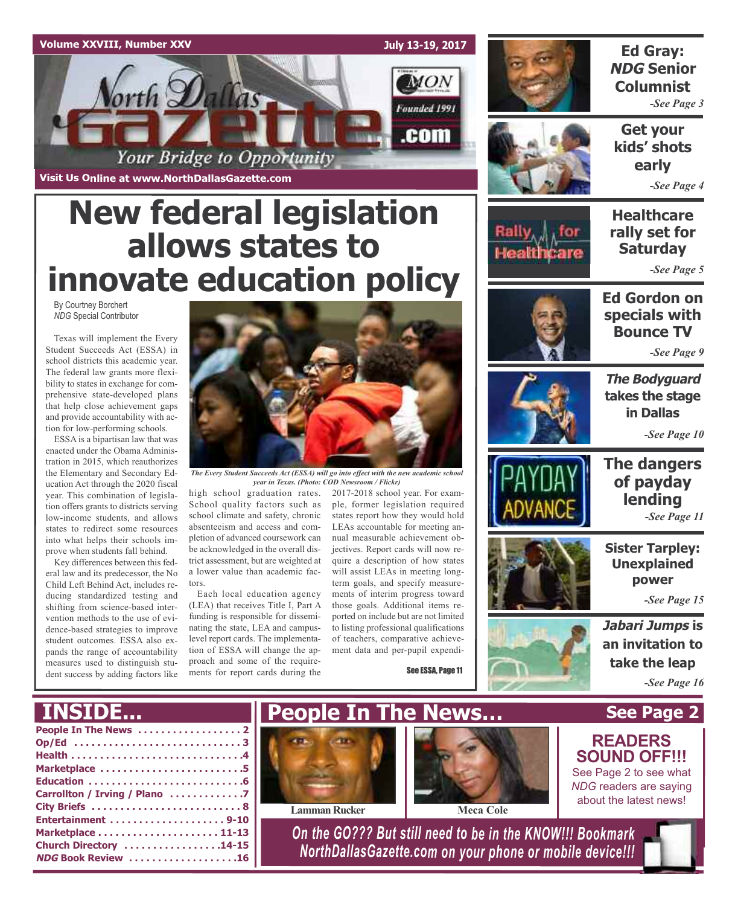

# **New federal legislation allows states to innovate education policy**

By Courtney Borchert *NDG* Special Contributor

Texas will implement the Every Student Succeeds Act (ESSA) in school districts this academic year. The federal law grants more flexibility to states in exchange for comprehensive state-developed plans that help close achievement gaps and provide accountability with action for low-performing schools.

ESSA is a bipartisan law that was enacted under the Obama Administration in 2015, which reauthorizes the Elementary and Secondary Education Act through the 2020 fiscal year. This combination of legislation offers grants to districts serving low-income students, and allows states to redirect some resources into what helps their schools improve when students fall behind.

Key differences between this federal law and its predecessor, the No Child Left Behind Act, includes reducing standardized testing and shifting from science-based intervention methods to the use of evidence-based strategies to improve student outcomes. ESSA also expands the range of accountability measures used to distinguish student success by adding factors like



*The Every Student Succeeds Act (ESSA) will go into effect with the new academic school year in Texas. (Photo: COD Newsroom / Flickr)*

high school graduation rates. School quality factors such as school climate and safety, chronic absenteeism and access and completion of advanced coursework can be acknowledged in the overall district assessment, but are weighted at a lower value than academic factors.

Each local education agency (LEA) that receives Title I, Part A funding is responsible for disseminating the state, LEA and campuslevel report cards. The implementation of ESSA will change the approach and some of the requirements for report cards during the

2017-2018 school year. For example, former legislation required states report how they would hold LEAs accountable for meeting annual measurable achievement objectives. Report cards will now require a description of how states will assist LEAs in meeting longterm goals, and specify measurements of interim progress toward those goals. Additional items reported on include but are not limited to listing professional qualifications of teachers, comparative achievement data and per-pupil expendi-

See ESSA, Page 11



### **Ed Gray: NDG Senior Columnist**

*-See Page 3*

**Get your kids' shots early**

*-See Page 4*

**Healthcare rally set for Saturday**

*-See Page 5*





*-See Page 9*

**The Bodyguard takes the stage in Dallas**

**The dangers of payday lending**

**Sister Tarpley: Unexplained power**

*-See Page 10*

*-See Page 11*





**READERS SOUND OFF!!!** See Page 2 to see what *NDG* readers are saying

**take the leap** *-See Page 16*

**See Page 2**

## **INSIDE...**

| Marketplace 5                 |
|-------------------------------|
|                               |
| Carrollton / Irving / Plano 7 |
|                               |
|                               |
|                               |
| Church Directory 14-15        |
| <b>NDG Book Review 16</b>     |
|                               |







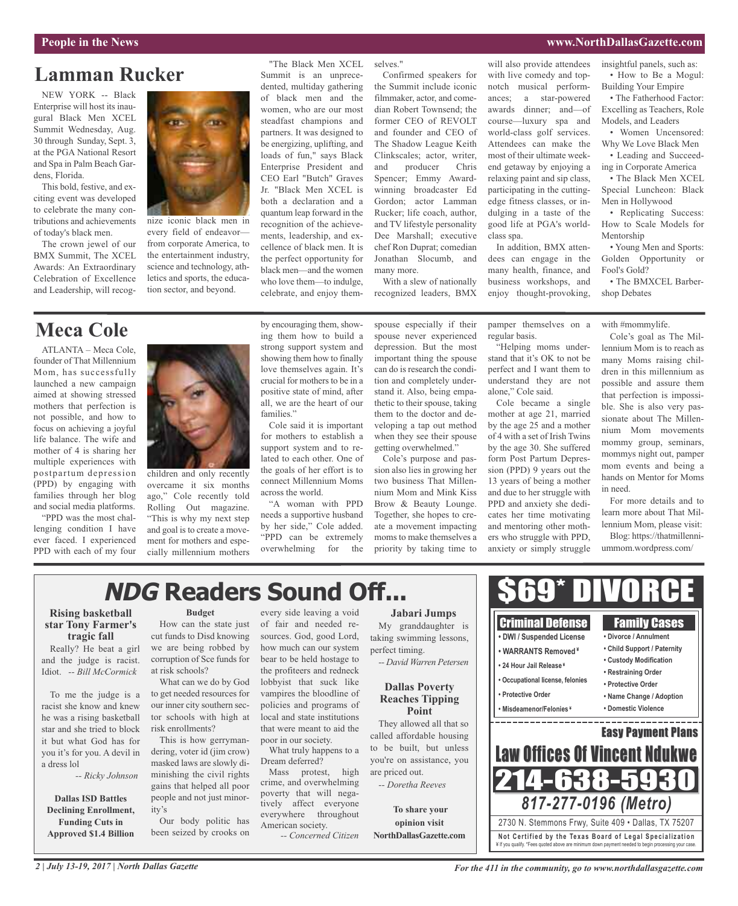#### **People in the News www.NorthDallasGazette.com**

## **Lamman Rucker**

NEW YORK -- Black Enterprise will host its inaugural Black Men XCEL Summit Wednesday, Aug. 30 through Sunday, Sept. 3, at the PGA National Resort and Spa in Palm Beach Gardens, Florida.

This bold, festive, and exciting event was developed to celebrate the many contributions and achievements of today's black men.

The crown jewel of our BMX Summit, The XCEL Awards: An Extraordinary Celebration of Excellence and Leadership, will recog-



nize iconic black men in every field of endeavor from corporate America, to the entertainment industry, science and technology, athletics and sports, the education sector, and beyond.

"The Black Men XCEL selves." Summit is an unprecedented, multiday gathering of black men and the women, who are our most steadfast champions and partners. It was designed to be energizing, uplifting, and loads of fun," says Black Enterprise President and CEO Earl "Butch" Graves Jr. "Black Men XCEL is both a declaration and a quantum leap forward in the recognition of the achievements, leadership, and excellence of black men. It is the perfect opportunity for black men—and the women who love them—to indulge, celebrate, and enjoy them-

Confirmed speakers for the Summit include iconic filmmaker, actor, and comedian Robert Townsend; the former CEO of REVOLT and founder and CEO of The Shadow League Keith Clinkscales; actor, writer, and producer Chris Spencer; Emmy Awardwinning broadcaster Ed Gordon; actor Lamman Rucker; life coach, author, and TV lifestyle personality Dee Marshall; executive chef Ron Duprat; comedian Jonathan Slocumb, and many more.

With a slew of nationally recognized leaders, BMX will also provide attendees with live comedy and topnotch musical performances; a star-powered awards dinner; and—of course—luxury spa and world-class golf services. Attendees can make the most of their ultimate weekend getaway by enjoying a relaxing paint and sip class, participating in the cuttingedge fitness classes, or indulging in a taste of the good life at PGA's worldclass spa. In addition, BMX atten-

dees can engage in the many health, finance, and business workshops, and enjoy thought-provoking,

insightful panels, such as: • How to Be a Mogul: Building Your Empire

• The Fatherhood Factor: Excelling as Teachers, Role Models, and Leaders

• Women Uncensored: Why We Love Black Men

• Leading and Succeeding in Corporate America

• The Black Men XCEL Special Luncheon: Black Men in Hollywood

• Replicating Success: How to Scale Models for Mentorship

• Young Men and Sports: Golden Opportunity or Fool's Gold?

• The BMXCEL Barbershop Debates

## **Meca Cole**

ATLANTA – Meca Cole, founder of That Millennium Mom, has successfully launched a new campaign aimed at showing stressed mothers that perfection is not possible, and how to focus on achieving a joyful life balance. The wife and mother of 4 is sharing her multiple experiences with postpartum depression (PPD) by engaging with families through her blog and social media platforms.

"PPD was the most challenging condition I have ever faced. I experienced PPD with each of my four



children and only recently overcame it six months ago," Cole recently told Rolling Out magazine. "This is why my next step and goal is to create a movement for mothers and especially millennium mothers by encouraging them, showing them how to build a strong support system and showing them how to finally love themselves again. It's crucial for mothers to be in a positive state of mind, after all, we are the heart of our families."

Cole said it is important for mothers to establish a support system and to related to each other. One of the goals of her effort is to connect Millennium Moms across the world.

"A woman with PPD needs a supportive husband by her side," Cole added. "PPD can be extremely overwhelming for the

spouse especially if their spouse never experienced depression. But the most important thing the spouse can do is research the condition and completely understand it. Also, being empathetic to their spouse, taking them to the doctor and developing a tap out method when they see their spouse getting overwhelmed."

Cole's purpose and passion also lies in growing her two business That Millennium Mom and Mink Kiss Brow & Beauty Lounge. Together, she hopes to create a movement impacting moms to make themselves a priority by taking time to pamper themselves on a regular basis.

"Helping moms understand that it's OK to not be perfect and I want them to understand they are not alone," Cole said.

Cole became a single mother at age 21, married by the age 25 and a mother of 4 with a set of Irish Twins by the age 30. She suffered form Post Partum Depression (PPD) 9 years out the 13 years of being a mother and due to her struggle with PPD and anxiety she dedicates her time motivating and mentoring other mothers who struggle with PPD, anxiety or simply struggle with #mommylife.

Cole's goal as The Millennium Mom is to reach as many Moms raising children in this millennium as possible and assure them that perfection is impossible. She is also very passionate about The Millennium Mom movements mommy group, seminars, mommys night out, pamper mom events and being a hands on Mentor for Moms in need.

For more details and to learn more about That Millennium Mom, please visit:

Blog: https://thatmillenniummom.wordpress.com/

## **NDG Readers Sound Off...**

#### **Rising basketball star Tony Farmer's tragic fall**

Really? He beat a girl and the judge is racist. Idiot. *-- Bill McCormick*

To me the judge is a racist she know and knew he was a rising basketball star and she tried to block it but what God has for you it's for you. A devil in a dress lol

*-- Ricky Johnson*

**Dallas ISD Battles Declining Enrollment, Funding Cuts in Approved \$1.4 Billion**

#### **Budget**

How can the state just cut funds to Disd knowing we are being robbed by corruption of Sce funds for at risk schools?

What can we do by God to get needed resources for our inner city southern sector schools with high at risk enrollments?

This is how gerrymandering, voter id (jim crow) masked laws are slowly diminishing the civil rights gains that helped all poor people and not just minority's

Our body politic has been seized by crooks on

every side leaving a void of fair and needed resources. God, good Lord, how much can our system bear to be held hostage to the profiteers and redneck lobbyist that suck like vampires the bloodline of policies and programs of local and state institutions that were meant to aid the poor in our society.

What truly happens to a Dream deferred?

Mass protest, high crime, and overwhelming poverty that will negatively affect everyone everywhere throughout American society.

*-- Concerned Citizen*

**Jabari Jumps** My granddaughter is taking swimming lessons,

perfect timing. *-- David Warren Petersen*

#### **Dallas Poverty Reaches Tipping Point**

They allowed all that so called affordable housing to be built, but unless you're on assistance, you are priced out.

*-- Doretha Reeves*

**To share your opinion visit NorthDallasGazette.com**



\$69\* DIVORCE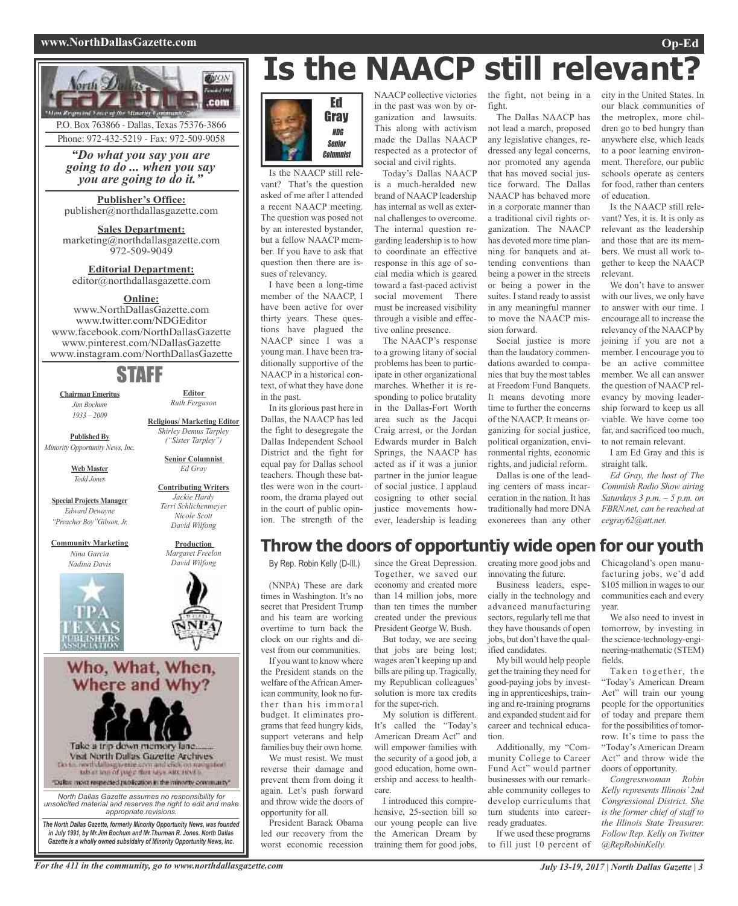#### **www.NorthDallasGazette.com Op-Ed**



P.O. Box 763866 - Dallas, Texas 75376-3866 Phone: 972-432-5219 - Fax: 972-509-9058

*"Do what you say you are going to do ... when you say you are going to do it."*

**Publisher's Office:** publisher@northdallasgazette.com

**Sales Department:** marketing@northdallasgazette.com 972-509-9049

**Editorial Department:** editor@northdallasgazette.com

#### **Online:**

www.NorthDallasGazette.com www.twitter.com/NDGEditor www.facebook.com/NorthDallasGazette www.pinterest.com/NDallasGazette www.instagram.com/NorthDallasGazette

## STAFF

**Editor** *Ruth Ferguson*

**Religious/ Marketing Editor** *Shirley Demus Tarpley ("Sister Tarpley")* **Senior Columnist** *Ed Gray*

**Contributing Writers**

**Chairman Emeritus** *Jim Bochum 1933 – 2009*

**Published By**

*Minority Opportunity News, Inc.*

**Web Master** *Todd Jones*

**Special Projects Manager** *Edward Dewayne "Preacher Boy"Gibson, Jr.*

**Community Marketing** *Nina Garcia Nadina Davis*



Who, What, When, Where and Why?



*North Dallas Gazette assumes no responsibility for unsolicited material and reserves the right to edit and make appropriate revisions.*

*The North Dallas Gazette, formerly Minority Opportunity News, was founded in July 1991, by Mr.Jim Bochum and Mr.Thurman R. Jones. North Dallas Gazette is a wholly owned subsidairy of Minority Opportunity News, Inc.*

#### **Gray** NDG Senior

Is the NAACP still relevant? That's the question asked of me after I attended a recent NAACP meeting. The question was posed not by an interested bystander, but a fellow NAACP member. If you have to ask that question then there are issues of relevancy.

Ed

**Columnist** 

I have been a long-time member of the NAACP, I have been active for over thirty years. These questions have plagued the NAACP since I was a young man. I have been traditionally supportive of the NAACP in a historical context, of what they have done in the past.

In its glorious past here in Dallas, the NAACP has led the fight to desegregate the Dallas Independent School District and the fight for equal pay for Dallas school teachers. Though these battles were won in the courtroom, the drama played out in the court of public opinion. The strength of the

NAACP collective victories in the past was won by organization and lawsuits. This along with activism made the Dallas NAACP respected as a protector of social and civil rights.

**Is the NAACP still relevant?**

Today's Dallas NAACP is a much-heralded new brand of NAACP leadership has internal as well as external challenges to overcome. The internal question regarding leadership is to how to coordinate an effective response in this age of social media which is geared toward a fast-paced activist social movement There must be increased visibility through a visible and effective online presence.

The NAACP's response to a growing litany of social problems has been to participate in other organizational marches. Whether it is responding to police brutality in the Dallas-Fort Worth area such as the Jacqui Craig arrest, or the Jordan Edwards murder in Balch Springs, the NAACP has acted as if it was a junior partner in the junior league of social justice. I applaud cosigning to other social justice movements however, leadership is leading

the fight, not being in a city in the United States. In fight.

The Dallas NAACP has not lead a march, proposed any legislative changes, redressed any legal concerns, nor promoted any agenda that has moved social justice forward. The Dallas NAACP has behaved more in a corporate manner than a traditional civil rights organization. The NAACP has devoted more time planning for banquets and attending conventions than being a power in the streets or being a power in the suites. I stand ready to assist in any meaningful manner to move the NAACP mission forward.

Social justice is more than the laudatory commendations awarded to companies that buy the most tables at Freedom Fund Banquets. It means devoting more time to further the concerns of the NAACP. It means organizing for social justice, political organization, environmental rights, economic rights, and judicial reform.

Dallas is one of the leading centers of mass incarceration in the nation. It has traditionally had more DNA exonerees than any other

our black communities of the metroplex, more children go to bed hungry than anywhere else, which leads to a poor learning environment. Therefore, our public schools operate as centers for food, rather than centers of education.

Is the NAACP still relevant? Yes, it is. It is only as relevant as the leadership and those that are its members. We must all work together to keep the NAACP relevant.

We don't have to answer with our lives, we only have to answer with our time. I encourage all to increase the relevancy of the NAACP by joining if you are not a member. I encourage you to be an active committee member. We all can answer the question of NAACP relevancy by moving leadership forward to keep us all viable. We have come too far, and sacrificed too much, to not remain relevant.

I am Ed Gray and this is straight talk.

*Ed Gray, the host of The Commish Radio Show airing Saturdays 3 p.m. – 5 p.m. on FBRN.net, can be reached at eegray62@att.net.*

## **Throw the doors of opportuntiy wide open for our youth**

By Rep. Robin Kelly (D-Ill.)

(NNPA) These are dark times in Washington. It's no secret that President Trump and his team are working overtime to turn back the clock on our rights and divest from our communities.

If you want to know where the President stands on the welfare of the African American community, look no further than his immoral budget. It eliminates programs that feed hungry kids, support veterans and help families buy their own home.

We must resist. We must reverse their damage and prevent them from doing it again. Let's push forward and throw wide the doors of opportunity for all.

President Barack Obama led our recovery from the worst economic recession

since the Great Depression. Together, we saved our economy and created more than 14 million jobs, more than ten times the number created under the previous President George W. Bush.

But today, we are seeing that jobs are being lost; wages aren't keeping up and bills are piling up. Tragically, my Republican colleagues' solution is more tax credits for the super-rich.

My solution is different. It's called the "Today's American Dream Act" and will empower families with the security of a good job, a good education, home ownership and access to healthcare.

I introduced this comprehensive, 25-section bill so our young people can live the American Dream by training them for good jobs,

creating more good jobs and innovating the future.

Business leaders, especially in the technology and advanced manufacturing sectors, regularly tell me that they have thousands of open jobs, but don't have the qualified candidates.

My bill would help people get the training they need for good-paying jobs by investing in apprenticeships, training and re-training programs and expanded student aid for career and technical education.

Additionally, my "Community College to Career Fund Act" would partner businesses with our remarkable community colleges to develop curriculums that turn students into careerready graduates.

If we used these programs to fill just 10 percent of Chicagoland's open manufacturing jobs, we'd add \$105 million in wages to our communities each and every year.

We also need to invest in tomorrow, by investing in the science-technology-engineering-mathematic (STEM) fields.

Taken together, the "Today's American Dream Act" will train our young people for the opportunities of today and prepare them for the possibilities of tomorrow. It's time to pass the "Today's American Dream Act" and throw wide the doors of opportunity.

*Congresswoman Robin Kelly represents Illinois'2nd Congressional District. She is the former chief of staff to the Illinois State Treasurer. Follow Rep. Kelly on Twitter @RepRobinKelly.*

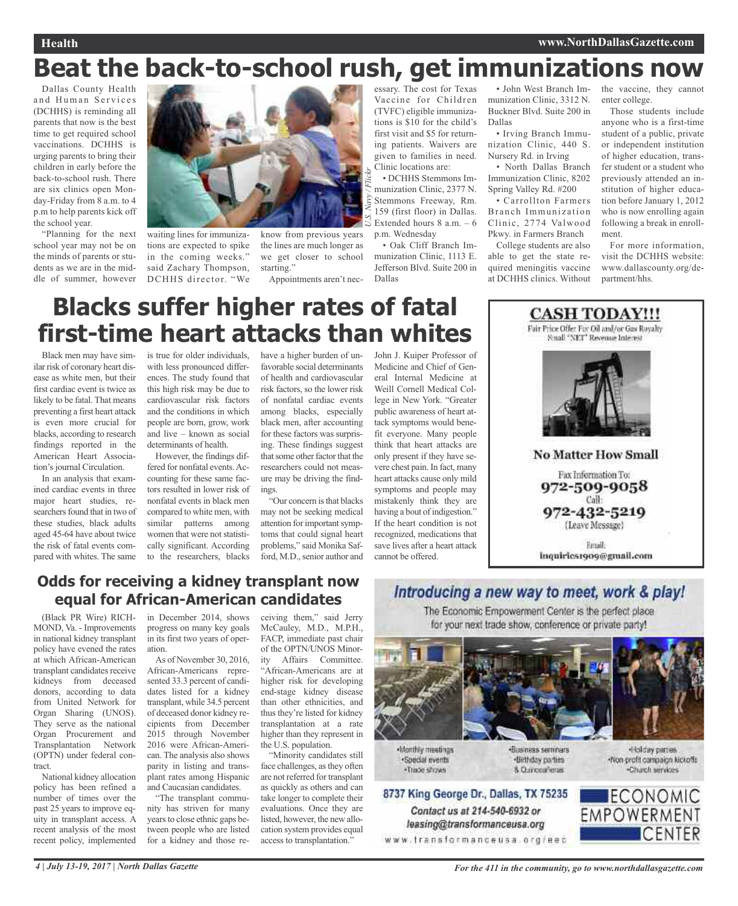## **Beat the back-to-school rush, get immunizations now**

Dallas County Health and Human Services (DCHHS) is reminding all parents that now is the best time to get required school vaccinations. DCHHS is urging parents to bring their children in early before the back-to-school rush. There are six clinics open Monday-Friday from 8 a.m. to 4 p.m to help parents kick off the school year.

"Planning for the next school year may not be on the minds of parents or students as we are in the middle of summer, however



waiting lines for immunizations are expected to spike in the coming weeks." said Zachary Thompson, DCHHS director. "We

know from previous years the lines are much longer as we get closer to school starting."

Appointments aren't nec-

essary. The cost for Texas Vaccine for Children (TVFC) eligible immunizations is \$10 for the child's first visit and \$5 for returning patients. Waivers are given to families in need. Clinic locations are:

• DCHHS Stemmons Immunization Clinic, 2377 N. Stemmons Freeway, Rm. 159 (first floor) in Dallas. Extended hours 8 a.m. – 6 p.m. Wednesday *U.S. Navy / Flickr*

• Oak Cliff Branch Immunization Clinic, 1113 E. Jefferson Blvd. Suite 200 in Dallas

• John West Branch Immunization Clinic, 3312 N. Buckner Blvd. Suite 200 in Dallas

• Irving Branch Immunization Clinic, 440 S. Nursery Rd. in Irving

• North Dallas Branch Immunization Clinic, 8202 Spring Valley Rd. #200

• Carrollton Farmers Branch Immunization Clinic, 2774 Valwood Pkwy. in Farmers Branch

College students are also able to get the state required meningitis vaccine at DCHHS clinics. Without

the vaccine, they cannot enter college.

Those students include anyone who is a first-time student of a public, private or independent institution of higher education, transfer student or a student who previously attended an institution of higher education before January 1, 2012 who is now enrolling again following a break in enrollment.

For more information, visit the DCHHS website: www.dallascounty.org/department/hhs.

## **Blacks suffer higher rates of fatal first-time heart attacks than whites**

Black men may have similar risk of coronary heart disease as white men, but their first cardiac event is twice as likely to be fatal. That means preventing a first heart attack is even more crucial for blacks, according to research findings reported in the American Heart Association's journal Circulation.

In an analysis that examined cardiac events in three major heart studies, researchers found that in two of these studies, black adults aged 45-64 have about twice the risk of fatal events compared with whites. The same is true for older individuals, with less pronounced differences. The study found that this high risk may be due to cardiovascular risk factors and the conditions in which people are born, grow, work and live – known as social determinants of health.

However, the findings differed for nonfatal events.Accounting for these same factors resulted in lower risk of nonfatal events in black men compared to white men, with similar patterns among women that were not statistically significant. According to the researchers, blacks

have a higher burden of unfavorable social determinants of health and cardiovascular risk factors, so the lower risk of nonfatal cardiac events among blacks, especially black men, after accounting for these factors was surprising. These findings suggest that some other factor that the researchers could not measure may be driving the findings.

"Our concern is that blacks may not be seeking medical attention for important symptoms that could signal heart problems," said Monika Safford, M.D., senior author and John J. Kuiper Professor of Medicine and Chief of General Internal Medicine at Weill Cornell Medical College in New York. "Greater public awareness of heart attack symptoms would benefit everyone. Many people think that heart attacks are only present if they have severe chest pain. In fact, many heart attacks cause only mild symptoms and people may mistakenly think they are having a bout of indigestion." If the heart condition is not recognized, medications that save lives after a heart attack cannot be offered.



### **Odds for receiving a kidney transplant now equal for African-American candidates**

(Black PR Wire) RICH-MOND, Va. - Improvements in national kidney transplant policy have evened the rates at which African-American transplant candidates receive kidneys from deceased donors, according to data from United Network for Organ Sharing (UNOS). They serve as the national Organ Procurement and Transplantation Network (OPTN) under federal contract.

National kidney allocation policy has been refined a number of times over the past 25 years to improve equity in transplant access. A recent analysis of the most recent policy, implemented

in December 2014, shows progress on many key goals in its first two years of operation.

As of November 30, 2016, African-Americans represented 33.3 percent of candidates listed for a kidney transplant, while 34.5 percent of deceased donor kidney recipients from December 2015 through November 2016 were African-American. The analysis also shows parity in listing and transplant rates among Hispanic and Caucasian candidates.

"The transplant community has striven for many years to close ethnic gaps between people who are listed for a kidney and those re-

ceiving them," said Jerry McCauley, M.D., M.P.H., FACP, immediate past chair of the OPTN/UNOS Minority Affairs Committee. "African-Americans are at higher risk for developing end-stage kidney disease than other ethnicities, and thus they're listed for kidney transplantation at a rate higher than they represent in the U.S. population.

"Minority candidates still face challenges, as they often are not referred for transplant as quickly as others and can take longer to complete their evaluations. Once they are listed, however, the new allocation system provides equal access to transplantation."

### Introducing a new way to meet, work & play! The Economic Empowerment Center is the perfect place

for your next trade show, conference or private party!



Monthly meetings ·Special events ·Trade shows

Contact us at 214-540-6932 or

leasing@transformanceusa.org

·Business seminars ·Birthday parties 8. Curiceaferas

Holday parties. Non-profit compaign kickoffs Church terrices

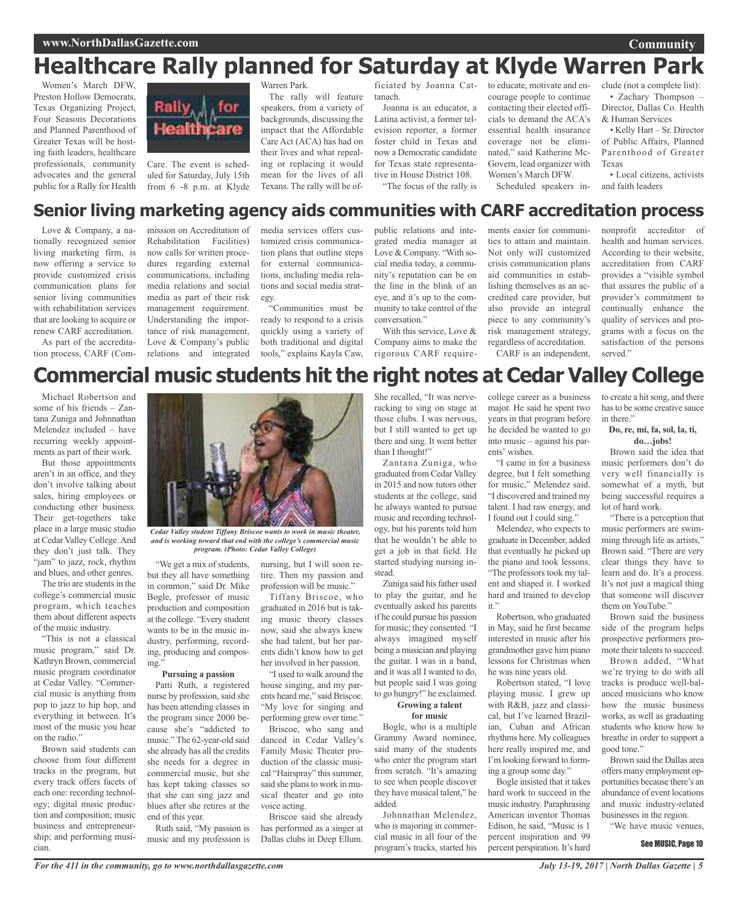## **Healthcare Rally planned for Saturday at Klyde Warren Park**

Women's March DFW, Preston Hollow Democrats, Texas Organizing Project, Four Seasons Decorations and Planned Parenthood of Greater Texas will be hosting faith leaders, healthcare professionals, community advocates and the general public for a Rally for Health



Care. The event is scheduled for Saturday, July 15th from 6 -8 p.m. at Klyde Warren Park.

The rally will feature speakers, from a variety of backgrounds, discussing the impact that the Affordable Care Act (ACA) has had on their lives and what repealing or replacing it would mean for the lives of all Texans. The rally will be of-

ficiated by Joanna Cattanach.

Joanna is an educator, a Latina activist, a former television reporter, a former foster child in Texas and now a Democratic candidate for Texas state representative in House District 108. "The focus of the rally is

to educate, motivate and encourage people to continue contacting their elected officials to demand the ACA's essential health insurance coverage not be eliminated," said Katherine Mc-Govern, lead organizer with Women's March DFW.

Scheduled speakers in-

clude (not a complete list): • Zachary Thompson – Director, Dallas Co. Health & Human Services

• Kelly Hart – Sr. Director of Public Affairs, Planned Parenthood of Greater Texas

• Local citizens, activists and faith leaders

## **Senior living marketing agency aids communities with CARF accreditation process**

Love & Company, a nationally recognized senior living marketing firm, is now offering a service to provide customized crisis communication plans for senior living communities with rehabilitation services that are looking to acquire or renew CARF accreditation.

As part of the accreditation process, CARF (Com-

mission on Accreditation of Rehabilitation Facilities) now calls for written procedures regarding external communications, including media relations and social media as part of their risk management requirement. Understanding the importance of risk management, Love & Company's public relations and integrated media services offers customized crisis communication plans that outline steps for external communications, including media relations and social media strategy.

"Communities must be ready to respond to a crisis quickly using a variety of both traditional and digital tools," explains Kayla Caw,

public relations and integrated media manager at Love & Company. "With social media today, a community's reputation can be on the line in the blink of an eye, and it's up to the community to take control of the conversation."

With this service, Love & Company aims to make the rigorous CARF requirements easier for communities to attain and maintain. Not only will customized crisis communication plans aid communities in establishing themselves as an accredited care provider, but also provide an integral piece to any community's risk management strategy, regardless of accreditation. CARF is an independent,

nonprofit accreditor of health and human services. According to their website, accreditation from CARF provides a "visible symbol that assures the public of a provider's commitment to continually enhance the quality of services and programs with a focus on the satisfaction of the persons served."

## **Commercial music students hit the right notes at Cedar Valley College**

Michael Robertson and some of his friends – Zantana Zuniga and Johnnathan Melendez included – have recurring weekly appointments as part of their work.

But those appointments aren't in an office, and they don't involve talking about sales, hiring employees or conducting other business. Their get-togethers take place in a large music studio at Cedar Valley College.And they don't just talk. They "jam" to jazz, rock, rhythm and blues, and other genres.

The trio are students in the college's commercial music program, which teaches them about different aspects of the music industry.

"This is not a classical music program," said Dr. Kathryn Brown, commercial music program coordinator at Cedar Valley. "Commercial music is anything from pop to jazz to hip hop, and everything in between. It's most of the music you hear on the radio."

Brown said students can choose from four different tracks in the program, but every track offers facets of each one: recording technology; digital music production and composition; music business and entrepreneurship; and performing musician.



*Cedar Valley student Tiffany Briscoe wants to work in music theater, and is working toward that end with the college's commercial music program. (Photo: Cedar Valley College)*

"We get a mix of students, but they all have something in common," said Dr. Mike Bogle, professor of music production and composition at the college. "Every student wants to be in the music industry, performing, recording, producing and composing."

#### **Pursuing a passion**

Patti Ruth, a registered nurse by profession, said she has been attending classes in the program since 2000 because she's "addicted to music." The 62-year-old said she already has all the credits she needs for a degree in commercial music, but she has kept taking classes so that she can sing jazz and blues after she retires at the end of this year.

Ruth said, "My passion is music and my profession is

nursing, but I will soon retire. Then my passion and profession will be music."

Tiffany Briscoe, who graduated in 2016 but is taking music theory classes now, said she always knew she had talent, but her parents didn't know how to get her involved in her passion.

"I used to walk around the house singing, and my parents heard me," said Briscoe. "My love for singing and performing grew over time."

Briscoe, who sang and danced in Cedar Valley's Family Music Theater production of the classic musical "Hairspray" this summer, said she plans to work in musical theater and go into voice acting.

Briscoe said she already has performed as a singer at Dallas clubs in Deep Ellum.

She recalled, "It was nerveracking to sing on stage at those clubs. I was nervous, but I still wanted to get up there and sing. It went better than I thought!"

Zantana Zuniga, who graduated from Cedar Valley in 2015 and now tutors other students at the college, said he always wanted to pursue music and recording technology, but his parents told him that he wouldn't be able to get a job in that field. He started studying nursing instead.

Zuniga said his father used to play the guitar, and he eventually asked his parents if he could pursue his passion for music; they consented. "I always imagined myself being a musician and playing the guitar. I was in a band, and it was all I wanted to do, but people said I was going to go hungry!" he exclaimed.

#### **Growing a talent for music**

Bogle, who is a multiple Grammy Award nominee, said many of the students who enter the program start from scratch. "It's amazing to see when people discover they have musical talent," he added.

Johnnathan Melendez, who is majoring in commercial music in all four of the program's tracks, started his

college career as a business major. He said he spent two years in that program before he decided he wanted to go into music – against his parents' wishes.

"I came in for a business degree, but I felt something for music," Melendez said. "I discovered and trained my talent. I had raw energy, and I found out I could sing."

Melendez, who expects to graduate in December, added that eventually he picked up the piano and took lessons. "The professors took my talent and shaped it. I worked hard and trained to develop it."

Robertson, who graduated in May, said he first became interested in music after his grandmother gave him piano lessons for Christmas when he was nine years old.

Robertson stated, "I love playing music. I grew up with R&B, jazz and classical, but I've learned Brazilian, Cuban and African rhythms here. My colleagues here really inspired me, and I'm looking forward to forming a group some day."

Bogle insisted that it takes hard work to succeed in the music industry. Paraphrasing American inventor Thomas Edison, he said, "Music is 1 percent inspiration and 99 percent perspiration. It's hard

to create a hit song, and there hasto be some creative sauce in there."

#### **Do, re, mi, fa, sol, la, ti, do…jobs!**

Brown said the idea that music performers don't do very well financially is somewhat of a myth, but being successful requires a lot of hard work.

"There is a perception that music performers are swimming through life as artists," Brown said. "There are very clear things they have to learn and do. It's a process. It's not just a magical thing that someone will discover them on YouTube."

Brown said the business side of the program helps prospective performers promote their talents to succeed.

Brown added, "What we're trying to do with all tracks is produce well-balanced musicians who know how the music business works, as well as graduating students who know how to breathe in order to support a good tone."

Brown said the Dallas area offers many employment opportunities because there's an abundance of event locations and music industry-related businesses in the region.

"We have music venues,

#### See MUSIC, Page 10

**Community**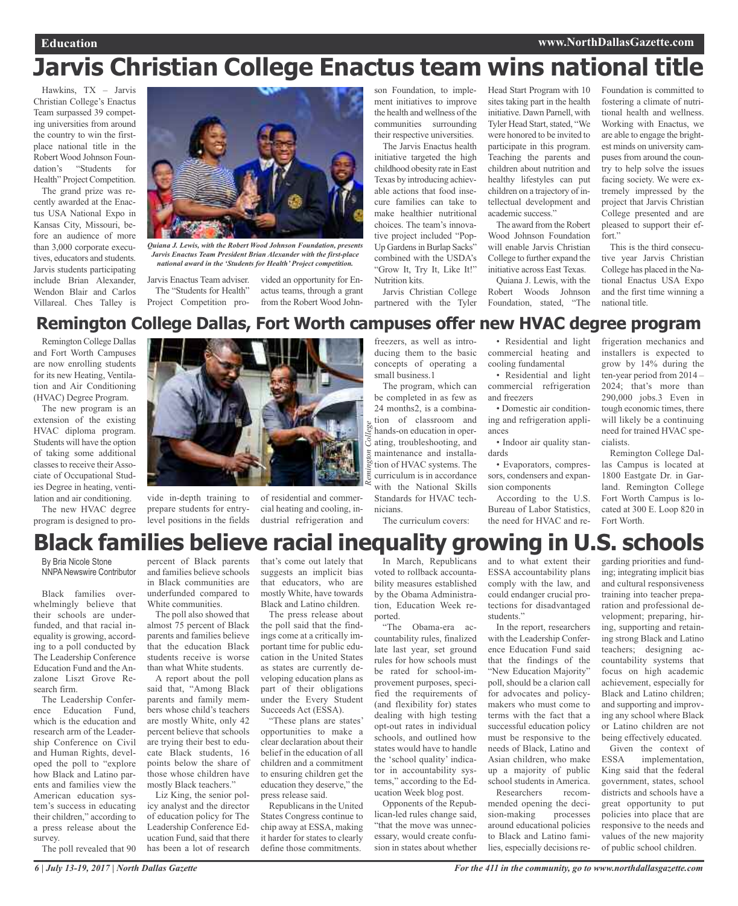## **Jarvis Christian College Enactus team wins national title**

Hawkins, TX – Jarvis Christian College's Enactus Team surpassed 39 competing universities from around the country to win the firstplace national title in the Robert Wood Johnson Foundation's "Students for Health" Project Competition.

The grand prize was recently awarded at the Enactus USA National Expo in Kansas City, Missouri, before an audience of more than 3,000 corporate executives, educators and students. Jarvis students participating include Brian Alexander, Wendon Blair and Carlos Villareal. Ches Talley is



*Quiana J. Lewis, with the Robert Wood Johnson Foundation, presents Jarvis Enactus Team President Brian Alexander with the first-place national award in the 'Students for Health' Project competition.*

Jarvis Enactus Team adviser. The "Students for Health" Project Competition pro-

vided an opportunity for Enactus teams, through a grant from the Robert Wood Johnson Foundation, to implement initiatives to improve the health and wellness of the communities surrounding their respective universities.

The Jarvis Enactus health initiative targeted the high childhood obesity rate in East Texas by introducing achievable actions that food insecure families can take to make healthier nutritional choices. The team's innovative project included "Pop-Up Gardens in Burlap Sacks" combined with the USDA's "Grow It, Try It, Like It!" Nutrition kits.

Jarvis Christian College partnered with the Tyler

Head Start Program with 10 sites taking part in the health initiative. Dawn Parnell, with Tyler Head Start, stated, "We were honored to be invited to participate in this program. Teaching the parents and children about nutrition and healthy lifestyles can put children on a trajectory of intellectual development and academic success."

The award from the Robert Wood Johnson Foundation will enable Jarvis Christian College to further expand the initiative across East Texas.

Quiana J. Lewis, with the Robert Woods Johnson Foundation, stated, "The

Foundation is committed to fostering a climate of nutritional health and wellness. Working with Enactus, we are able to engage the brightest minds on university campuses from around the country to help solve the issues facing society. We were extremely impressed by the project that Jarvis Christian College presented and are pleased to support their effort."

This is the third consecutive year Jarvis Christian College has placed in the National Enactus USA Expo and the first time winning a national title.

### **Remington College Dallas, Fort Worth campuses offer new HVAC degree program**

Remington College Dallas and Fort Worth Campuses are now enrolling students for its new Heating, Ventilation and Air Conditioning (HVAC) Degree Program.

The new program is an extension of the existing HVAC diploma program. Students will have the option of taking some additional classes to receive their Associate of Occupational Studies Degree in heating, ventilation and air conditioning.

The new HVAC degree program is designed to pro-



vide in-depth training to prepare students for entrylevel positions in the fields

freezers, as well as introducing them to the basic concepts of operating a small business.1

The program, which can be completed in as few as 24 months2, is a combination of classroom and hands-on education in operating, troubleshooting, and maintenance and installation of HVAC systems. The curriculum is in accordance with the National Skills Standards for HVAC technicians. *Remington College*

The curriculum covers:

• Residential and light commercial heating and cooling fundamental

• Residential and light commercial refrigeration and freezers

• Domestic air conditioning and refrigeration appliances

• Indoor air quality standards

• Evaporators, compressors, condensers and expansion components

According to the U.S. Bureau of Labor Statistics, the need for HVAC and re-

frigeration mechanics and installers is expected to grow by 14% during the ten-year period from 2014 – 2024; that's more than 290,000 jobs.3 Even in tough economic times, there will likely be a continuing need for trained HVAC specialists.

Remington College Dallas Campus is located at 1800 Eastgate Dr. in Garland. Remington College Fort Worth Campus is located at 300 E. Loop 820 in Fort Worth.

## **Black families believe racial inequality growing in U.S. schools**

By Bria Nicole Stone NNPANewswire Contributor

Black families overwhelmingly believe that their schools are underfunded, and that racial inequality is growing, according to a poll conducted by The Leadership Conference Education Fund and the Anzalone Liszt Grove Research firm.

The Leadership Conference Education Fund, which is the education and research arm of the Leadership Conference on Civil and Human Rights, developed the poll to "explore how Black and Latino parents and families view the American education system's success in educating their children," according to a press release about the survey.

The poll revealed that 90

percent of Black parents and families believe schools in Black communities are underfunded compared to White communities.

The poll also showed that almost 75 percent of Black parents and families believe that the education Black students receive is worse than what White students.

A report about the poll said that, "Among Black parents and family members whose child's teachers are mostly White, only 42 percent believe that schools are trying their best to educate Black students, 16 points below the share of those whose children have mostly Black teachers."

Liz King, the senior policy analyst and the director of education policy for The Leadership Conference Education Fund, said that there has been a lot of research that's come out lately that suggests an implicit bias that educators, who are mostly White, have towards Black and Latino children.

cial heating and cooling, industrial refrigeration and

The press release about the poll said that the findings come at a critically important time for public education in the United States as states are currently developing education plans as part of their obligations under the Every Student Succeeds Act (ESSA).

"These plans are states' opportunities to make a clear declaration about their belief in the education of all children and a commitment to ensuring children get the education they deserve," the press release said.

Republicans in the United States Congress continue to chip away at ESSA, making it harder for states to clearly define those commitments.

In March, Republicans voted to rollback accountability measures established by the Obama Administration, Education Week reported.

"The Obama-era accountability rules, finalized late last year, set ground rules for how schools must be rated for school-improvement purposes, specified the requirements of (and flexibility for) states dealing with high testing opt-out rates in individual schools, and outlined how states would have to handle the 'school quality' indicator in accountability systems," according to the Education Week blog post.

Opponents of the Republican-led rules change said, "that the move was unnecessary, would create confusion in states about whether and to what extent their ESSA accountability plans comply with the law, and could endanger crucial protections for disadvantaged students."

In the report, researchers with the Leadership Conference Education Fund said that the findings of the "New Education Majority" poll, should be a clarion call for advocates and policymakers who must come to terms with the fact that a successful education policy must be responsive to the needs of Black, Latino and Asian children, who make up a majority of public school students in America.

Researchers recommended opening the decision-making processes around educational policies to Black and Latino families, especially decisions regarding priorities and funding; integrating implicit bias and cultural responsiveness training into teacher preparation and professional development; preparing, hiring, supporting and retaining strong Black and Latino teachers; designing accountability systems that focus on high academic achievement, especially for Black and Latino children; and supporting and improving any school where Black or Latino children are not being effectively educated.

Given the context of ESSA implementation, King said that the federal government, states, school districts and schools have a great opportunity to put policies into place that are responsive to the needs and values of the new majority of public school children.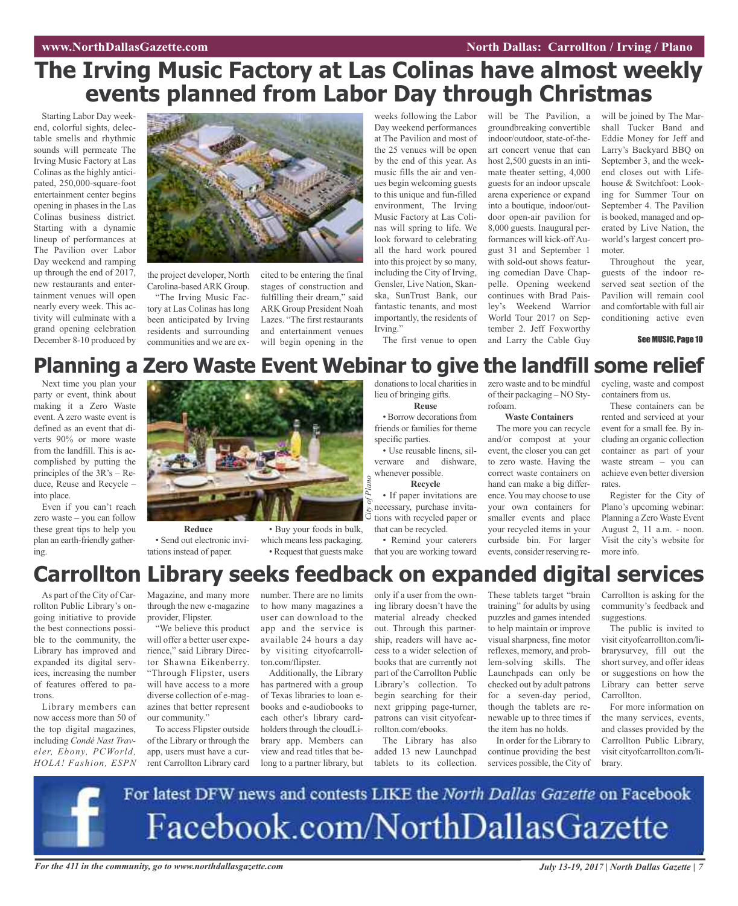## **The Irving Music Factory at Las Colinas have almost weekly events planned from Labor Day through Christmas**

Starting Labor Day weekend, colorful sights, delectable smells and rhythmic sounds will permeate The Irving Music Factory at Las Colinas as the highly anticipated, 250,000-square-foot entertainment center begins opening in phases in the Las Colinas business district. Starting with a dynamic lineup of performances at The Pavilion over Labor Day weekend and ramping up through the end of 2017, new restaurants and entertainment venues will open nearly every week. This activity will culminate with a grand opening celebration December 8-10 produced by



the project developer, North Carolina-basedARK Group.

"The Irving Music Factory at Las Colinas has long been anticipated by Irving residents and surrounding communities and we are excited to be entering the final stages of construction and fulfilling their dream," said ARK Group President Noah Lazes. "The first restaurants and entertainment venues will begin opening in the

weeks following the Labor Day weekend performances at The Pavilion and most of the 25 venues will be open by the end of this year. As music fills the air and venues begin welcoming guests to this unique and fun-filled environment, The Irving Music Factory at Las Colinas will spring to life. We look forward to celebrating all the hard work poured into this project by so many, including the City of Irving, Gensler, Live Nation, Skanska, SunTrust Bank, our fantastic tenants, and most importantly, the residents of Irving."

The first venue to open and Larry the Cable Guy will be The Pavilion, a groundbreaking convertible indoor/outdoor, state-of-theart concert venue that can host 2,500 guests in an intimate theater setting, 4,000 guests for an indoor upscale arena experience or expand into a boutique, indoor/outdoor open-air pavilion for 8,000 guests. Inaugural performances will kick-off August 31 and September 1 with sold-out shows featuring comedian Dave Chappelle. Opening weekend continues with Brad Paisley's Weekend Warrior World Tour 2017 on September 2. Jeff Foxworthy

will be joined by The Marshall Tucker Band and Eddie Money for Jeff and Larry's Backyard BBQ on September 3, and the weekend closes out with Lifehouse & Switchfoot: Looking for Summer Tour on September 4. The Pavilion is booked, managed and operated by Live Nation, the world's largest concert promoter.

Throughout the year, guests of the indoor reserved seat section of the Pavilion will remain cool and comfortable with full air conditioning active even

See MUSIC, Page 10

## **Planning a Zero Waste Event Webinar to give the landfill some relief**

Next time you plan your party or event, think about making it a Zero Waste event. A zero waste event is defined as an event that diverts 90% or more waste from the landfill. This is accomplished by putting the principles of the 3R's – Reduce, Reuse and Recycle – into place.

Even if you can't reach zero waste – you can follow these great tips to help you plan an earth-friendly gathering.



**Reduce** • Send out electronic invitations instead of paper.

• Buy your foods in bulk, which means less packaging. • Request that guests make donations to local charities in lieu of bringing gifts. **Reuse**

• Borrow decorations from friends or families for theme specific parties.

• Use reusable linens, silverware and dishware, whenever possible. **Recycle**

• If paper invitations are necessary, purchase invitations with recycled paper or that can be recycled. *City of*

• Remind your caterers that you are working toward

zero waste and to be mindful of their packaging – NO Styrofoam.

#### **Waste Containers**

The more you can recycle and/or compost at your event, the closer you can get to zero waste. Having the correct waste containers on hand can make a big difference. You may choose to use your own containers for smaller events and place your recycled items in your curbside bin. For larger events, consider reserving recycling, waste and compost containers from us.

These containers can be rented and serviced at your event for a small fee. By including an organic collection container as part of your waste stream – you can achieve even better diversion rates.

Register for the City of Plano's upcoming webinar: Planning a Zero Waste Event August 2, 11 a.m. - noon. Visit the city's website for more info.

## **Carrollton Library seeks feedback on expanded digital services**

*Plano*

As part of the City of Carrollton Public Library's ongoing initiative to provide the best connections possible to the community, the Library has improved and expanded its digital services, increasing the number of features offered to patrons.

Library members can now access more than 50 of the top digital magazines, including *Condé Nast Traveler, Ebony, PCWorld, HOLA! Fashion, ESPN* Magazine, and many more through the new e-magazine provider, Flipster.

"We believe this product will offer a better user experience," said Library Director Shawna Eikenberry. "Through Flipster, users will have access to a more diverse collection of e-magazines that better represent our community."

To access Flipster outside of the Library or through the app, users must have a current Carrollton Library card number. There are no limits to how many magazines a user can download to the app and the service is available 24 hours a day by visiting cityofcarrollton.com/flipster.

Additionally, the Library has partnered with a group of Texas libraries to loan ebooks and e-audiobooks to each other's library cardholders through the cloudLibrary app. Members can view and read titles that belong to a partner library, but only if a user from the owning library doesn't have the material already checked out. Through this partnership, readers will have access to a wider selection of books that are currently not part of the Carrollton Public Library's collection. To begin searching for their next gripping page-turner, patrons can visit cityofcarrollton.com/ebooks.

The Library has also added 13 new Launchpad tablets to its collection. These tablets target "brain training" for adults by using puzzles and games intended to help maintain or improve visual sharpness, fine motor reflexes, memory, and problem-solving skills. The Launchpads can only be checked out by adult patrons for a seven-day period, though the tablets are renewable up to three times if the item has no holds.

In order for the Library to continue providing the best services possible, the City of

Carrollton is asking for the community's feedback and suggestions.

The public is invited to visit cityofcarrollton.com/librarysurvey, fill out the short survey, and offer ideas or suggestions on how the Library can better serve Carrollton.

For more information on the many services, events, and classes provided by the Carrollton Public Library, visit cityofcarrollton.com/library.



For the 411 in the community, go to www.northdallasgazette.com July 13-19, 2017 | North Dallas Gazette | 7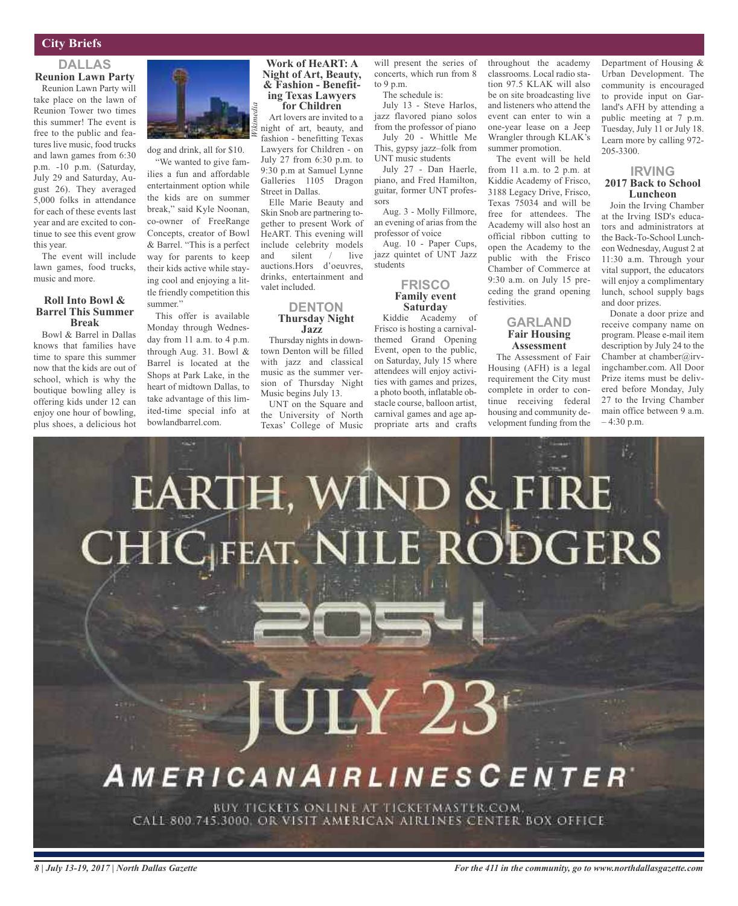#### **City Briefs**

### **DALLAS Reunion Lawn Party**

Reunion Lawn Party will take place on the lawn of Reunion Tower two times this summer! The event is free to the public and features live music, food trucks and lawn games from 6:30 p.m. -10 p.m. (Saturday, July 29 and Saturday, August 26). They averaged 5,000 folks in attendance for each of these events last year and are excited to continue to see this event grow this year.

The event will include lawn games, food trucks, music and more.

#### **Roll Into Bowl & Barrel This Summer Break**

Bowl & Barrel in Dallas knows that families have time to spare this summer now that the kids are out of school, which is why the boutique bowling alley is offering kids under 12 can enjoy one hour of bowling, plus shoes, a delicious hot



dog and drink, all for \$10.

"We wanted to give families a fun and affordable entertainment option while the kids are on summer break," said Kyle Noonan, co-owner of FreeRange Concepts, creator of Bowl & Barrel. "This is a perfect way for parents to keep their kids active while staying cool and enjoying a little friendly competition this summer."

This offer is available Monday through Wednesday from 11 a.m. to 4 p.m. through Aug. 31. Bowl & Barrel is located at the Shops at Park Lake, in the heart of midtown Dallas, to take advantage of this limited-time special info at bowlandbarrel.com.

### **Work of HeART: A Night of Art, Beauty, & Fashion - Benefit- ing Texas Lawyers for Children**

Art lovers are invited to a night of art, beauty, and fashion - benefitting Texas Lawyers for Children - on July 27 from 6:30 p.m. to 9:30 p.m at Samuel Lynne Galleries 1105 Dragon Street in Dallas.

Elle Marie Beauty and Skin Snob are partnering together to present Work of HeART. This evening will include celebrity models and silent / live auctions.Hors d'oeuvres, drinks, entertainment and valet included.

#### **DENTON Thursday Night Jazz**

Thursday nights in downtown Denton will be filled with jazz and classical music as the summer version of Thursday Night Music begins July 13.

UNT on the Square and the University of North Texas' College of Music will present the series of concerts, which run from 8 to 9 p.m. The schedule is:

July 13 - Steve Harlos, jazz flavored piano solos from the professor of piano July 20 - Whittle Me This, gypsy jazz–folk from

UNT music students July 27 - Dan Haerle, piano, and Fred Hamilton,

guitar, former UNT professors Aug. 3 - Molly Fillmore,

an evening of arias from the professor of voice Aug. 10 - Paper Cups, jazz quintet of UNT Jazz students

#### **FRISCO Family event Saturday**

Kiddie Academy of Frisco is hosting a carnivalthemed Grand Opening Event, open to the public, on Saturday, July 15 where attendees will enjoy activities with games and prizes, a photo booth, inflatable obstacle course, balloon artist, carnival games and age appropriate arts and crafts throughout the academy classrooms. Local radio station 97.5 KLAK will also be on site broadcasting live and listeners who attend the event can enter to win a one-year lease on a Jeep Wrangler through KLAK's summer promotion.

The event will be held from 11 a.m. to 2 p.m. at Kiddie Academy of Frisco, 3188 Legacy Drive, Frisco, Texas 75034 and will be free for attendees. The Academy will also host an official ribbon cutting to open the Academy to the public with the Frisco Chamber of Commerce at 9:30 a.m. on July 15 preceding the grand opening festivities.

#### **GARLAND Fair Housing Assessment**

The Assessment of Fair Housing (AFH) is a legal requirement the City must complete in order to continue receiving federal housing and community development funding from the

Department of Housing & Urban Development. The community is encouraged to provide input on Garland's AFH by attending a public meeting at 7 p.m. Tuesday, July 11 or July 18. Learn more by calling 972- 205-3300.

#### **IRVING 2017 Back to School Luncheon**

Join the Irving Chamber at the Irving ISD's educators and administrators at the Back-To-School Luncheon Wednesday, August 2 at 11:30 a.m. Through your vital support, the educators will enjoy a complimentary lunch, school supply bags and door prizes.

Donate a door prize and receive company name on program. Please e-mail item description by July 24 to the Chamber at chamber@irvingchamber.com. All Door Prize items must be delivered before Monday, July 27 to the Irving Chamber main office between 9 a.m. – 4:30 p.m.

# μ, EARTH, WIND & FIRE CHIC FEAT. NILE RODGERS  $\mathrm{JLY}~23^\circ$ **AMERICANAIRLINESCENTER** BUY TICKETS ONLINE AT TICKETMASTER.COM. CALL 800 745.3000, OR VISIT AMERICAN AIRLINES CENTER BOX OFFICE

*8 | July 13-19, 2017 | North Dallas Gazette*

*For the 411 in the community, go to www.northdallasgazette.com*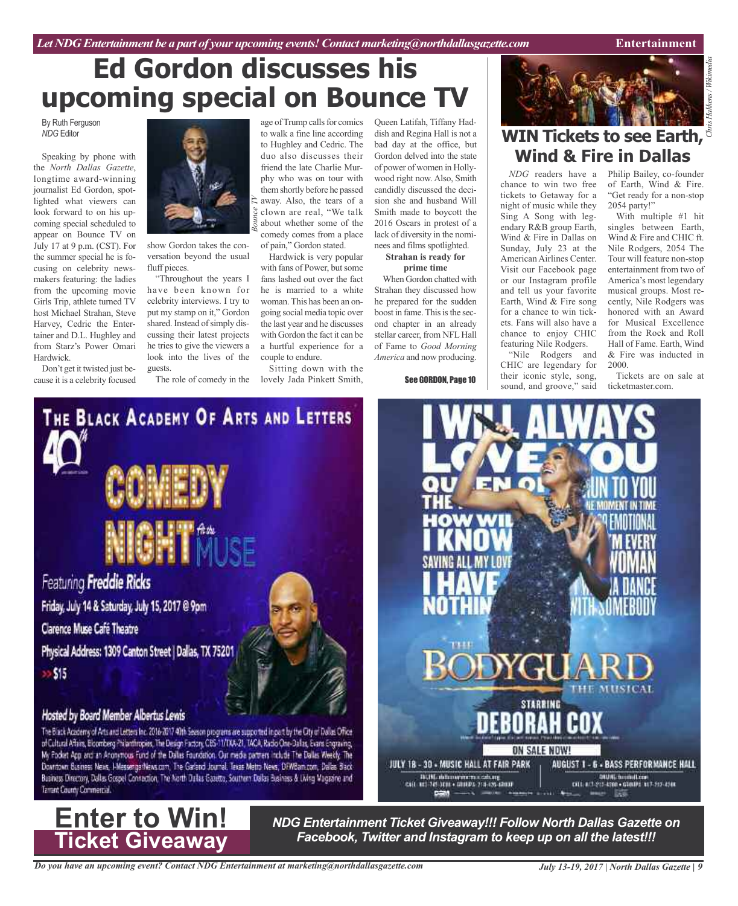## **Ed Gordon discusses his upcoming special on Bounce TV**

By Ruth Ferguson *NDG* Editor

Speaking by phone with the *North Dallas Gazette*, longtime award-winning journalist Ed Gordon, spotlighted what viewers can look forward to on his upcoming special scheduled to appear on Bounce TV on July 17 at 9 p.m. (CST). For the summer special he is focusing on celebrity newsmakers featuring: the ladies from the upcoming movie Girls Trip, athlete turned TV host Michael Strahan, Steve Harvey, Cedric the Entertainer and D.L. Hughley and from Starz's Power Omari Hardwick.

Don't get it twisted just because it is a celebrity focused



show Gordon takes the conversation beyond the usual fluff pieces.

"Throughout the years I have been known for celebrity interviews. I try to put my stamp on it," Gordon shared. Instead of simply discussing their latest projects he tries to give the viewers a look into the lives of the guests.

age of Trump calls for comics to walk a fine line according to Hughley and Cedric. The duo also discusses their friend the late Charlie Murphy who was on tour with them shortly before he passed away. Also, the tears of a clown are real, "We talk about whether some of the comedy comes from a place of pain," Gordon stated.

Hardwick is very popular with fans of Power, but some fans lashed out over the fact he is married to a white woman. This has been an ongoing social media topic over the last year and he discusses with Gordon the fact it can be a hurtful experience for a couple to endure.

The role of comedy in the lovely Jada Pinkett Smith, Sitting down with the

Queen Latifah, Tiffany Haddish and Regina Hall is not a bad day at the office, but Gordon delved into the state of power of women in Hollywood right now. Also, Smith candidly discussed the decision she and husband Will Smith made to boycott the 2016 Oscars in protest of a lack of diversity in the nominees and films spotlighted.

**Strahan is ready for prime time**

When Gordon chatted with Strahan they discussed how he prepared for the sudden boost in fame. This is the second chapter in an already stellar career, from NFL Hall of Fame to *Good Morning America* and now producing.

See GORDON, Page 10



# *Chris Hakkens/ Wikimedia* **WIN Tickets to see Earth, Wind & Fire in Dallas**

chance to win two free tickets to Getaway for a night of music while they Sing A Song with legendary R&B group Earth, Wind & Fire in Dallas on Sunday, July 23 at the American Airlines Center. Visit our Facebook page or our Instagram profile and tell us your favorite Earth, Wind & Fire song for a chance to win tickets. Fans will also have a chance to enjoy CHIC featuring Nile Rodgers.

"Nile Rodgers and CHIC are legendary for their iconic style, song, sound, and groove," said

**STARRING** 

ON SALE NOW!

*NDG* readers have a Philip Bailey, co-founder of Earth, Wind & Fire. "Get ready for a non-stop 2054 party!"

With multiple #1 hit singles between Earth, Wind & Fire and CHIC ft. Nile Rodgers, 2054 The Tour will feature non-stop entertainment from two of America's most legendary musical groups. Most recently, Nile Rodgers was honored with an Award for Musical Excellence from the Rock and Roll Hall of Fame. Earth, Wind & Fire was inducted in 2000.

Tickets are on sale at ticketmaster.com.



Friday, July 14 & Saturday, July 15, 2017 @ 9pm Clarence Muse Café Theatre Physical Address: 1309 Canton Street | Dallas, TX 75201  $>515$ 

#### Hosted by Board Member Albertus Lewis

The Black Academy of Arts and Letters Inc. 2016-2017 40th Seeson programs are supported in part by the Oty of Dallas Office<br>of Cultural Affairs, Bloomberg Philanthropies, The Design Factory, CBS-11/TXA-21, TACA, Radio One-My Pocket App and an Anonymous Fund of the Dallas Foundation. Our media partners include The Dallas Weekly. The Downtown Business News, I-MessengerNews.com, The Garland Journal, Texas Metro News, DFWBarn.com, Dallas Black Business Directory, Dallas Gospel Contaction, The North Dallas Gatetta, Southern Dallas Business & Living Magazine and Tarrant County Commercial.



*NDG Entertainment Ticket Giveaway!!! Follow North Dallas Gazette on Facebook, Twitter and Instagram to keep up on all the latest!!!*

JULY 18 - 30 - MUSIC HALL AT FAIR PARK

.<br>1939: Administrativa del egli anni.<br>1937: Septe Grandes, 2014 egli statut

AUGUST 1 - 6 - BASS PERFORMANCE HALL

DRUM) (hominities)<br>CITL ACL-213-4300 - CECLER ALL-215-4300

**Four mer life**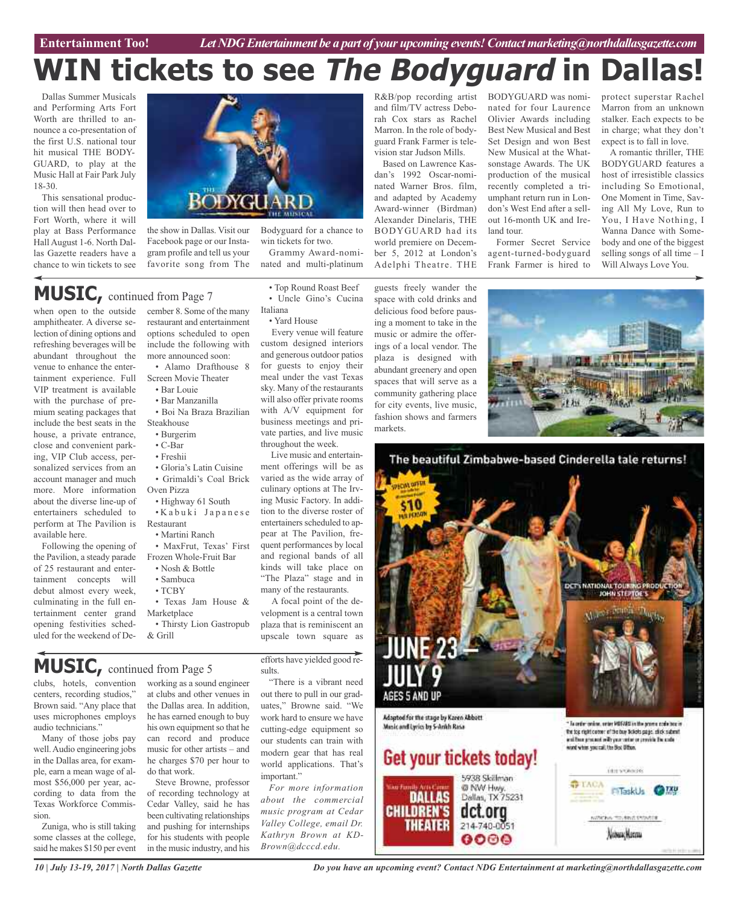**Car Review Entertainment Too!** *Let NDG Entertainment be a part of your upcoming events!Contactmarketing@northdallasgazette.com*

# **WIN tickets to see The Bodyguard in**

Dallas Summer Musicals and Performing Arts Fort Worth are thrilled to announce a co-presentation of the first U.S. national tour hit musical THE BODY-GUARD, to play at the Music Hall at Fair Park July 18-30.

This sensational production will then head over to Fort Worth, where it will play at Bass Performance Hall August 1-6. North Dallas Gazette readers have a chance to win tickets to see



the show in Dallas. Visit our Facebook page or our Instagram profile and tell us your favorite song from The

## **MUSIC,** continued from Page <sup>7</sup>

when open to the outside amphitheater. A diverse selection of dining options and refreshing beverages will be abundant throughout the venue to enhance the entertainment experience. Full VIP treatment is available with the purchase of premium seating packages that include the best seats in the house, a private entrance, close and convenient parking, VIP Club access, personalized services from an account manager and much more. More information about the diverse line-up of entertainers scheduled to perform at The Pavilion is available here.

Following the opening of the Pavilion, a steady parade of 25 restaurant and entertainment concepts will debut almost every week, culminating in the full entertainment center grand opening festivities scheduled for the weekend of December 8. Some of the many restaurant and entertainment options scheduled to open include the following with more announced soon: • Alamo Drafthouse 8

Screen Movie Theater

- Bar Louie
- Bar Manzanilla • Boi Na Braza Brazilian Steakhouse
- Burgerim
- C-Bar
- Freshii
- Gloria's Latin Cuisine
- Grimaldi's Coal Brick Oven Pizza
- Highway 61 South
- K a b u k i J a p a n e s e Restaurant
	- Martini Ranch
- MaxFrut, Texas' First Frozen Whole-Fruit Bar • Nosh & Bottle
	- Sambuca
- TCBY
- Texas Jam House & Marketplace
- Thirsty Lion Gastropub & Grill

efforts have yielded good results.

• Top Round Roast Beef • Uncle Gino's Cucina

Grammy Award-nominated and multi-platinum

Every venue will feature custom designed interiors and generous outdoor patios for guests to enjoy their meal under the vast Texas sky. Many of the restaurants will also offer private rooms with A/V equipment for business meetings and private parties, and live music throughout the week.

Live music and entertainment offerings will be as varied as the wide array of culinary options at The Irving Music Factory. In addition to the diverse roster of entertainers scheduled to appear at The Pavilion, frequent performances by local and regional bands of all kinds will take place on "The Plaza" stage and in many of the restaurants. A focal point of the development is a central town plaza that is reminiscent an upscale town square as

Italiana

• Yard House

win tickets for two.

**MUSIC,** continued from Page <sup>5</sup>

clubs, hotels, convention centers, recording studios," Brown said. "Any place that uses microphones employs audio technicians."

Many of those jobs pay well.Audio engineering jobs in the Dallas area, for example, earn a mean wage of almost \$56,000 per year, according to data from the Texas Workforce Commission.

Zuniga, who is still taking some classes at the college, said he makes \$150 per event

working as a sound engineer at clubs and other venues in the Dallas area. In addition, he has earned enough to buy his own equipment so that he can record and produce music for other artists – and he charges \$70 per hour to do that work.

Steve Browne, professor of recording technology at Cedar Valley, said he has been cultivating relationships and pushing for internships for his students with people in the music industry, and his

"There is a vibrant need out there to pull in our graduates," Browne said. "We work hard to ensure we have cutting-edge equipment so our students can train with modern gear that has real world applications. That's important."

*For more information about the commercial music program at Cedar Valley College, email Dr. Kathryn Brown at KD-Brown@dcccd.edu.*

R&B/pop recording artist and film/TV actress Deborah Cox stars as Rachel Marron. In the role of bodyguard Frank Farmer is television star Judson Mills.

Based on Lawrence Kasdan's 1992 Oscar-nominated Warner Bros. film, and adapted by Academy Award-winner (Birdman) Alexander Dinelaris, THE BODYGUARD had its world premiere on December 5, 2012 at London's Adelphi Theatre. THE

guests freely wander the space with cold drinks and delicious food before pausing a moment to take in the music or admire the offerings of a local vendor. The plaza is designed with abundant greenery and open spaces that will serve as a community gathering place for city events, live music, fashion shows and farmers markets.

BODYGUARD was nominated for four Laurence Olivier Awards including Best New Musical and Best Set Design and won Best New Musical at the Whatsonstage Awards. The UK production of the musical recently completed a triumphant return run in London's West End after a sellout 16-month UK and Ireland tour.

Former Secret Service agent-turned-bodyguard Frank Farmer is hired to

protect superstar Rachel Marron from an unknown stalker. Each expects to be in charge; what they don't expect is to fall in love.

A romantic thriller, THE BODYGUARD features a host of irresistible classics including So Emotional, One Moment in Time, Saving All My Love, Run to You, I Have Nothing, I Wanna Dance with Somebody and one of the biggest selling songs of all time – I Will Always Love You.





*Do you have an upcoming event? Contact NDG Entertainment at marketing@northdallasgazette.com*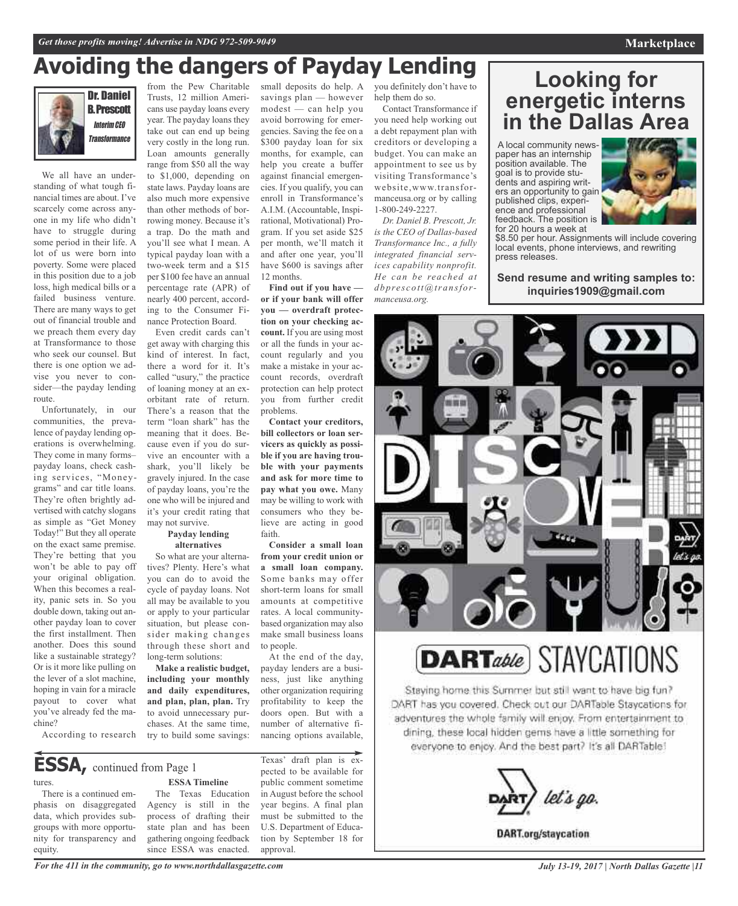## **Avoiding the dangers of Payday Lending**

We all have an understanding of what tough financial times are about. I've scarcely come across anyone in my life who didn't have to struggle during some period in their life. A lot of us were born into poverty. Some were placed in this position due to a job loss, high medical bills or a failed business venture. There are many ways to get out of financial trouble and we preach them every day at Transformance to those who seek our counsel. But there is one option we advise you never to consider—the payday lending route.

Unfortunately, in our communities, the prevalence of payday lending operations is overwhelming. They come in many forms– payday loans, check cashing services, "Moneygrams" and car title loans. They're often brightly advertised with catchy slogans as simple as "Get Money Today!" But they all operate on the exact same premise. They're betting that you won't be able to pay off your original obligation. When this becomes a reality, panic sets in. So you double down, taking out another payday loan to cover the first installment. Then another. Does this sound like a sustainable strategy? Or is it more like pulling on the lever of a slot machine, hoping in vain for a miracle payout to cover what you've already fed the machine?

from the Pew Charitable Trusts, 12 million Americans use payday loans every year. The payday loans they take out can end up being very costly in the long run. Loan amounts generally range from \$50 all the way to \$1,000, depending on state laws. Payday loans are also much more expensive than other methods of borrowing money. Because it's a trap. Do the math and you'll see what I mean. A typical payday loan with a two-week term and a \$15 per \$100 fee have an annual percentage rate (APR) of nearly 400 percent, according to the Consumer Finance Protection Board.

Even credit cards can't get away with charging this kind of interest. In fact, there a word for it. It's called "usury," the practice of loaning money at an exorbitant rate of return. There's a reason that the term "loan shark" has the meaning that it does. Because even if you do survive an encounter with a shark, you'll likely be gravely injured. In the case of payday loans, you're the one who will be injured and it's your credit rating that may not survive.

#### **Payday lending alternatives**

So what are your alternatives? Plenty. Here's what you can do to avoid the cycle of payday loans. Not all may be available to you or apply to your particular situation, but please consider making changes through these short and long-term solutions:

**Make a realistic budget, including your monthly and daily expenditures, and plan, plan, plan.** Try to avoid unnecessary purchases. At the same time, try to build some savings:

savings plan — however modest — can help you avoid borrowing for emergencies. Saving the fee on a \$300 payday loan for six months, for example, can help you create a buffer against financial emergencies. If you qualify, you can enroll in Transformance's A.I.M. (Accountable, Inspirational, Motivational) Program. If you set aside \$25 per month, we'll match it and after one year, you'll have \$600 is savings after 12 months.

**Find out if you have or if your bank will offer you — overdraft protection on your checking account.** If you are using most or all the funds in your account regularly and you make a mistake in your account records, overdraft protection can help protect you from further credit problems.

**Contact your creditors, bill collectors or loan servicers as quickly as possible if you are having trouble with your payments and ask for more time to pay what you owe.** Many may be willing to work with consumers who they believe are acting in good faith.

**Consider a small loan from your credit union or a small loan company.** Some banks may offer short-term loans for small amounts at competitive rates. A local communitybased organization may also make small business loans to people.

At the end of the day, payday lenders are a business, just like anything other organization requiring profitability to keep the doors open. But with a number of alternative financing options available,

**ESSA,** continued from Page <sup>1</sup>

According to research

tures.

There is a continued emphasis on disaggregated data, which provides subgroups with more opportunity for transparency and equity.

**ESSA Timeline** The Texas Education Agency is still in the process of drafting their state plan and has been gathering ongoing feedback since ESSA was enacted.

Texas' draft plan is expected to be available for public comment sometime in August before the school year begins. A final plan must be submitted to the U.S. Department of Education by September 18 for approval.

small deposits do help. A you definitely don't have to help them do so.

> Contact Transformance if you need help working out a debt repayment plan with creditors or developing a budget. You can make an appointment to see us by visiting Transformance's website,www.transformanceusa.org or by calling 1-800-249-2227.

*Dr. Daniel B. Prescott, Jr. is the CEO of Dallas-based Transformance Inc., a fully integrated financial services capability nonprofit. He can be reached at dbpre s cott@transformanceusa.org.*

## **Looking for energetic interns in the Dallas Area**

<sup>A</sup> local community news- paper has an internship position available. The<br>goal is to provide students and aspiring writers an opportunity to gain published clips, experience and professional feedback. The position is for 20 hours a week at



\$8.50 per hour. Assignments will include covering local events, phone interviews, and rewriting press releases.

**Send resume and writing samples to: inquiries1909@gmail.com**



Staving home this Summer but still want to have big fun? DART has you covered. Check out our DARTable Staycations for adventures the whole family will enjoy. From entertainment to dining, these local hidden gems have a little something for everyone to enjoy. And the best part? It's all DARTable!

let's go.

**DART.org/staycation** 

*For the 411 in the community, go to www.northdallasgazette.com*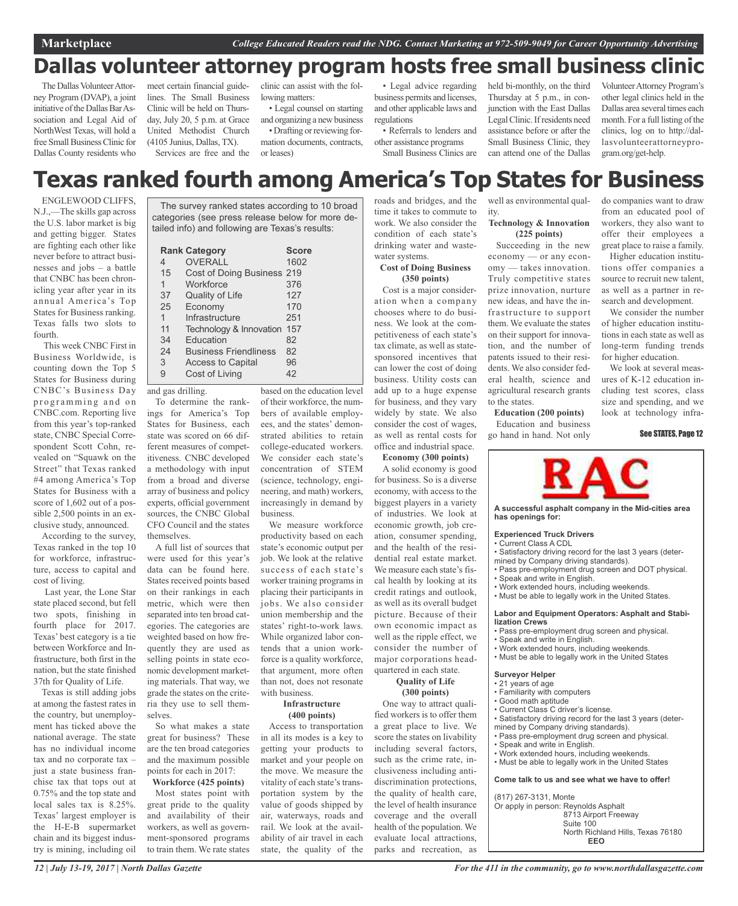## **Dallas volunteer attorney program hosts free small business clinic**

The Dallas Volunteer Attorney Program (DVAP), a joint initiative of the Dallas Bar Association and Legal Aid of NorthWest Texas, will hold a free Small Business Clinic for Dallas County residents who

meet certain financial guidelines. The Small Business Clinic will be held on Thursday, July 20, 5 p.m. at Grace United Methodist Church (4105 Junius, Dallas, TX). Services are free and the

clinic can assist with the following matters:

• Legal counsel on starting and organizing a new business • Drafting or reviewing formation documents, contracts,

or leases)

• Legal advice regarding business permits and licenses, and other applicable laws and regulations

• Referrals to lenders and other assistance programs

Small Business Clinics are

held bi-monthly, on the third Thursday at 5 p.m., in conjunction with the East Dallas LegalClinic.Ifresidents need assistance before or after the Small Business Clinic, they can attend one of the Dallas

VolunteerAttorney Program's other legal clinics held in the Dallas area several times each month. For a full listing of the clinics, log on to http://dallasvolunteerattorneyprogram.org/get-help.

do companies want to draw from an educated pool of workers, they also want to offer their employees a great place to raise a family. Higher education institutions offer companies a source to recruit new talent, as well as a partner in research and development. We consider the number of higher education institutions in each state as well as long-term funding trends for higher education.

We look at several measures of K-12 education including test scores, class size and spending, and we look at technology infra-

See STATES, Page 12

## **Texas ranked fourth among America's Top States for Business**

ENGLEWOOD CLIFFS, N.J.,—The skills gap across the U.S. labor market is big and getting bigger. States are fighting each other like never before to attract businesses and jobs – a battle that CNBC has been chronicling year after year in its annual America's Top States for Business ranking. Texas falls two slots to fourth.

This week CNBC First in Business Worldwide, is counting down the Top 5 States for Business during CNBC's Business Day programming and on CNBC.com. Reporting live from this year's top-ranked state, CNBC Special Correspondent Scott Cohn, revealed on "Squawk on the Street" that Texas ranked #4 among America's Top States for Business with a score of 1,602 out of a possible 2,500 points in an exclusive study, announced.

According to the survey, Texas ranked in the top 10 for workforce, infrastructure, access to capital and cost of living.

Last year, the Lone Star state placed second, but fell two spots, finishing in fourth place for 2017. Texas' best category is a tie between Workforce and Infrastructure, both first in the nation, but the state finished 37th for Quality of Life.

Texas is still adding jobs at among the fastest rates in the country, but unemployment has ticked above the national average. The state has no individual income tax and no corporate tax – just a state business franchise tax that tops out at 0.75% and the top state and local sales tax is 8.25%. Texas' largest employer is the H-E-B supermarket chain and its biggest industry is mining, including oil

The survey ranked states according to 10 broad categories (see press release below for more detailed info) and following are Texas's results:

|    | <b>Rank Category</b>         | <b>Score</b> |
|----|------------------------------|--------------|
| 4  | <b>OVERALL</b>               | 1602         |
| 15 | Cost of Doing Business 219   |              |
| 1  | Workforce                    | 376          |
| 37 | Quality of Life              | 127          |
| 25 | Economy                      | 170          |
| 1  | Infrastructure               | 251          |
| 11 | Technology & Innovation      | 157          |
| 34 | Education                    | 82           |
| 24 | <b>Business Friendliness</b> | 82           |
| 3  | <b>Access to Capital</b>     | 96           |

9 Cost of Living 42

and gas drilling.

To determine the rankings for America's Top States for Business, each state was scored on 66 different measures of competitiveness. CNBC developed a methodology with input from a broad and diverse array of business and policy experts, official government sources, the CNBC Global CFO Council and the states themselves.

A full list of sources that were used for this year's data can be found here. States received points based on their rankings in each metric, which were then separated into ten broad categories. The categories are weighted based on how frequently they are used as selling points in state economic development marketing materials. That way, we grade the states on the criteria they use to sell themselves.

So what makes a state great for business? These are the ten broad categories and the maximum possible points for each in 2017:

#### **Workforce (425 points)**

Most states point with great pride to the quality and availability of their workers, as well as government-sponsored programs to train them. We rate states

based on the education level of their workforce, the numbers of available employees, and the states' demonstrated abilities to retain college-educated workers. We consider each state's concentration of STEM (science, technology, engineering, and math) workers, increasingly in demand by business.

We measure workforce productivity based on each state's economic output per job. We look at the relative success of each state's worker training programs in placing their participants in jobs. We also consider union membership and the states' right-to-work laws. While organized labor contends that a union workforce is a quality workforce, that argument, more often than not, does not resonate with business.

#### **Infrastructure (400 points)**

Access to transportation in all its modes is a key to getting your products to market and your people on the move. We measure the vitality of each state's transportation system by the value of goods shipped by air, waterways, roads and rail. We look at the availability of air travel in each state, the quality of the roads and bridges, and the time it takes to commute to work. We also consider the condition of each state's drinking water and wastewater systems.

#### **Cost of Doing Business (350 points)**

Cost is a major consideration when a company chooses where to do business. We look at the competitiveness of each state's tax climate, as well as statesponsored incentives that can lower the cost of doing business. Utility costs can add up to a huge expense for business, and they vary widely by state. We also consider the cost of wages, as well as rental costs for office and industrial space.

**Economy (300 points)**

A solid economy is good for business. So is a diverse economy, with access to the biggest players in a variety of industries. We look at economic growth, job creation, consumer spending, and the health of the residential real estate market. quartered in each state.

#### **Quality of Life (300 points)**

One way to attract qualified workers is to offer them a great place to live. We score the states on livability including several factors, such as the crime rate, inclusiveness including antidiscrimination protections, the quality of health care, the level of health insurance coverage and the overall health of the population. We evaluate local attractions, parks and recreation, as well as environmental quality.

#### **Technology & Innovation (225 points)**

Succeeding in the new economy — or any economy — takes innovation. Truly competitive states prize innovation, nurture new ideas, and have the infrastructure to support them. We evaluate the states on their support for innovation, and the number of patents issued to their residents. We also consider federal health, science and agricultural research grants to the states.

**Education (200 points)** Education and business go hand in hand. Not only



**A successful asphalt company in the Mid-cities area has openings for:**

#### **Experienced Truck Drivers**

- Current Class A CDL • Satisfactory driving record for the last 3 years (deter-
- mined by Company driving standards). • Pass pre-employment drug screen and DOT physical.
- Speak and write in English.
- Work extended hours, including weekends.
- Must be able to legally work in the United States.

#### **Labor and Equipment Operators: Asphalt and Stabilization Crews**

- Pass pre-employment drug screen and physical.
- Speak and write in English.
- Work extended hours, including weekends.
- Must be able to legally work in the United States

#### **Surveyor Helper**

- 21 years of age
- Familiarity with computers
- Good math aptitude • Current Class C driver's license.
- 
- Satisfactory driving record for the last 3 years (determined by Company driving standards).
- Pass pre-employment drug screen and physical.
- 
- Speak and write in English. • Work extended hours, including weekends.
- Must be able to legally work in the United States

#### **Come talk to us and see what we have to offer!**

(817) 267-3131, Monte

Or apply in person: Reynolds Asphalt 8713 Airport Freeway Suite 100 North Richland Hills, Texas 76180 **EEO**

We measure each state's fiscal health by looking at its credit ratings and outlook, as well as its overall budget picture. Because of their own economic impact as well as the ripple effect, we consider the number of major corporations head-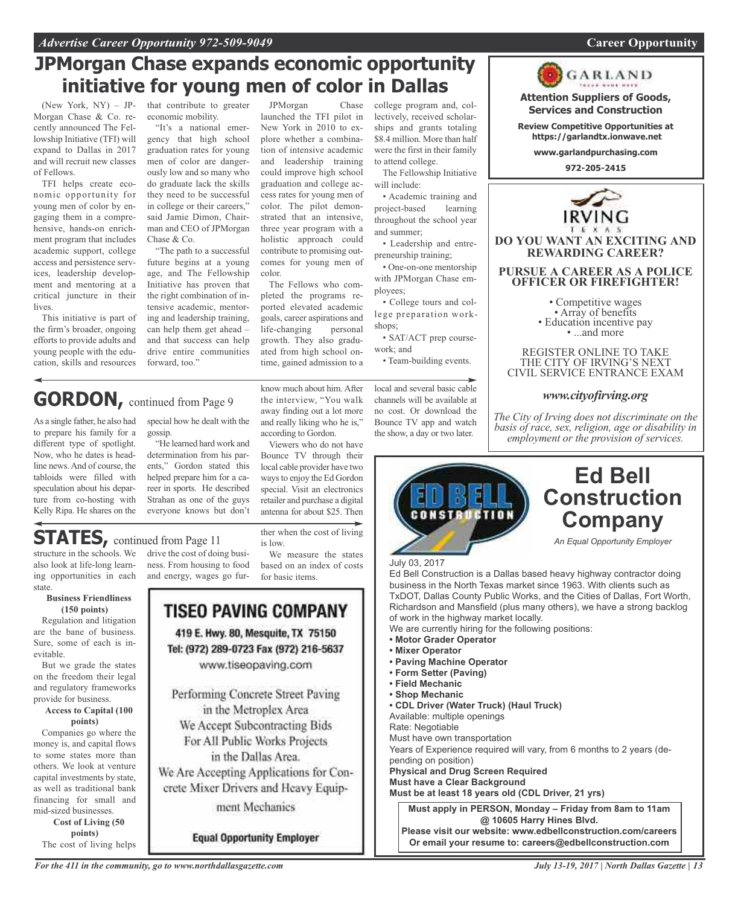## **JPMorgan Chase expands economic opportunity initiative for young men of color in Dallas**

(New York, NY) – JP-Morgan Chase & Co. recently announced The Fellowship Initiative (TFI) will expand to Dallas in 2017 and will recruit new classes of Fellows.

TFI helps create economic opportunity for young men of color by engaging them in a comprehensive, hands-on enrichment program that includes academic support, college access and persistence services, leadership development and mentoring at a critical juncture in their lives.

This initiative is part of the firm's broader, ongoing efforts to provide adults and young people with the education, skills and resources

different type of spotlight. Now, who he dates is headline news.And of course, the tabloids were filled with speculation about his departure from co-hosting with Kelly Ripa. He shares on the

**GORDON,** continued from Page <sup>9</sup>

that contribute to greater economic mobility.

"It's a national emergency that high school graduation rates for young men of color are dangerously low and so many who do graduate lack the skills they need to be successful in college or their careers," said Jamie Dimon, Chairman and CEO of JPMorgan Chase & Co.

"The path to a successful future begins at a young age, and The Fellowship Initiative has proven that the right combination of intensive academic, mentoring and leadership training, can help them get ahead – and that success can help drive entire communities forward, too."

#### JPMorgan Chase launched the TFI pilot in New York in 2010 to explore whether a combination of intensive academic and leadership training could improve high school graduation and college access rates for young men of color. The pilot demonstrated that an intensive, three year program with a holistic approach could contribute to promising outcomes for young men of

color. The Fellows who completed the programs reported elevated academic goals, career aspirations and life-changing personal growth. They also graduated from high school ontime, gained admission to a

know much about him. After the interview, "You walk away finding out a lot more and really liking who he is,"

retailer and purchase a digital antenna for about \$25. Then

ther when the cost of living

We measure the states based on an index of costs

is low.

for basic items.

college program and, collectively, received scholarships and grants totaling \$8.4 million. More than half were the first in their family to attend college.

The Fellowship Initiative will include:

• Academic training and project-based learning throughout the school year and summer;

• Leadership and entrepreneurship training;

• One-on-one mentorship with JPMorgan Chase employees;

• College tours and college preparation workshops;

• SAT/ACT prep coursework; and

• Team-building events.

local and several basic cable channels will be available at no cost. Or download the Bounce TV app and watch the show, a day or two later.



**Attention Suppliers of Goods, Services and Construction**

**Review Competitive Opportunities at https://garlandtx.ionwave.net**

**www.garlandpurchasing.com**

**972-205-2415**



#### REGISTER ONLINE TO TAKE THE CITY OF IRVING'S NEXT CIVIL SERVICE ENTRANCE EXAM

#### *www.cityofirving.org*

*The City of Irving does not discriminate on the basis of race, sex, religion, age or disability in employment or the provision of services.*



## **Ed Bell Construction Company**

*An Equal Opportunity Employer*

July 03, 2017

Ed Bell Construction is a Dallas based heavy highway contractor doing business in the North Texas market since 1963. With clients such as TxDOT, Dallas County Public Works, and the Cities of Dallas, Fort Worth, Richardson and Mansfield (plus many others), we have a strong backlog of work in the highway market locally.

We are currently hiring for the following positions:

- **• Motor Grader Operator**
- **• Mixer Operator**
- **• Paving Machine Operator**
- **• Form Setter (Paving)**
- **• Field Mechanic**
- **• Shop Mechanic**
- **• CDL Driver (Water Truck) (Haul Truck)**

Available: multiple openings

Rate: Negotiable

Must have own transportation Years of Experience required will vary, from 6 months to 2 years (de-

pending on position)

**Physical and Drug Screen Required Must have a Clear Background**

**Must be at least 18 years old (CDL Driver, 21 yrs)**

**Must apply in PERSON, Monday – Friday from 8am to 11am @ 10605 Harry Hines Blvd.**

**Please visit our website: www.edbellconstruction.com/careers Or email your resume to: careers@edbellconstruction.com**

As a single father, he also had to prepare his family for a special how he dealt with the gossip.

> "He learned hard work and determination from his parents," Gordon stated this helped prepare him for a career in sports. He described Strahan as one of the guys everyone knows but don't

## **STATES**, continued from Page 11

structure in the schools. We also look at life-long learning opportunities in each state.

#### **Business Friendliness (150 points)**

Regulation and litigation are the bane of business. Sure, some of each is inevitable.

But we grade the states on the freedom their legal and regulatory frameworks provide for business.

**Access to Capital (100 points)**

Companies go where the money is, and capital flows to some states more than others. We look at venture capital investments by state, as well as traditional bank financing for small and mid-sized businesses.

**Cost of Living (50 points)** The cost of living helps drive the cost of doing business. From housing to food and energy, wages go fur-

TISEO PAVING COMPANY 419 E. Hwy. 80, Mesquite, TX 75150 Tel: (972) 289-0723 Fax (972) 216-5637 www.tiseopaving.com Performing Concrete Street Paving in the Metroplex Area We Accept Subcontracting Bids For All Public Works Projects in the Dallas Area. We Are Accepting Applications for Concrete Mixer Drivers and Heavy Equipment Mechanics

**Equal Opportunity Employer** 

*For the 411 in the community, go to www.northdallasgazette.com*

#### according to Gordon. Viewers who do not have Bounce TV through their local cable provider have two waysto enjoy the Ed Gordon special. Visit an electronics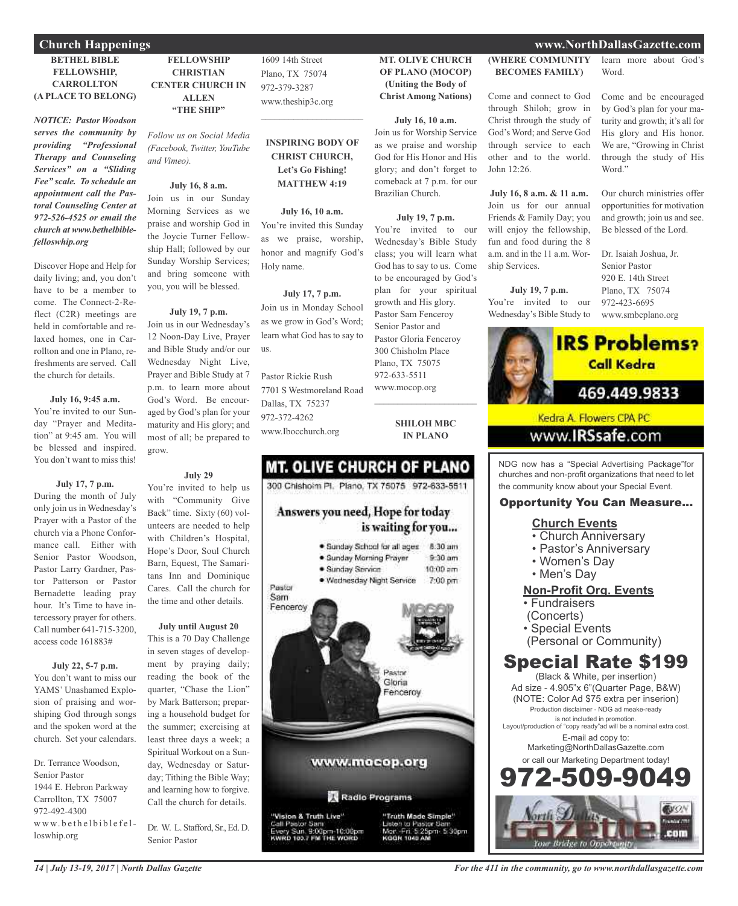## **BETHEL BIBLE FELLOWSHIP,**

#### **CARROLLTON (A PLACE TO BELONG)**

*NOTICE: Pastor Woodson serves the community by providing "Professional Therapy and Counseling Services" on a "Sliding Fee" scale. To schedule an appointment call the Pastoral Counseling Center at 972-526-4525 or email the church at www.bethelbiblefelloswhip.org*

Discover Hope and Help for daily living; and, you don't have to be a member to come. The Connect-2-Reflect (C2R) meetings are held in comfortable and relaxed homes, one in Carrollton and one in Plano, refreshments are served. Call the church for details.

#### **July 16, 9:45 a.m.**

You're invited to our Sunday "Prayer and Meditation" at 9:45 am. You will be blessed and inspired. You don't want to miss this!

#### **July 17, 7 p.m.**

During the month of July only join us in Wednesday's Prayer with a Pastor of the church via a Phone Conformance call. Either with Senior Pastor Woodson, Pastor Larry Gardner, Pastor Patterson or Pastor Bernadette leading pray hour. It's Time to have intercessory prayer for others. Call number 641-715-3200, access code 161883#

#### **July 22, 5-7 p.m.**

You don't want to miss our YAMS' Unashamed Explosion of praising and worshiping God through songs and the spoken word at the church. Set your calendars.

Dr. Terrance Woodson, Senior Pastor 1944 E. Hebron Parkway Carrollton, TX 75007 972-492-4300 www.bethelbiblefelloswhip.org

**FELLOWSHIP CHRISTIAN CENTER CHURCH IN ALLEN "THE SHIP"**

*Follow us on Social Media (Facebook, Twitter, YouTube and Vimeo).*

#### **July 16, 8 a.m.**

Join us in our Sunday Morning Services as we praise and worship God in the Joycie Turner Fellowship Hall; followed by our Sunday Worship Services; and bring someone with you, you will be blessed.

#### **July 19, 7 p.m.**

Join us in our Wednesday's 12 Noon-Day Live, Prayer and Bible Study and/or our Wednesday Night Live, Prayer and Bible Study at 7 p.m. to learn more about God's Word. Be encouraged by God's plan for your maturity and His glory; and most of all; be prepared to grow.

#### **July 29**

You're invited to help us with "Community Give Back" time. Sixty (60) volunteers are needed to help with Children's Hospital, Hope's Door, Soul Church Barn, Equest, The Samaritans Inn and Dominique Cares. Call the church for the time and other details.

#### **July until August 20**

This is a 70 Day Challenge in seven stages of development by praying daily; reading the book of the quarter, "Chase the Lion" by Mark Batterson; preparing a household budget for the summer; exercising at least three days a week; a Spiritual Workout on a Sunday, Wednesday or Saturday; Tithing the Bible Way; and learning how to forgive. Call the church for details.

Dr. W. L. Stafford, Sr., Ed. D. Senior Pastor

1609 14th Street Plano, TX 75074 972-379-3287 www.theship3c.org

#### **INSPIRING BODY OF CHRIST CHURCH, Let's Go Fishing! MATTHEW 4:19**

 $\mathcal{L}=\mathcal{L}^{\mathcal{L}}$  , where  $\mathcal{L}^{\mathcal{L}}$  , we have the set of the set of the set of the set of the set of the set of the set of the set of the set of the set of the set of the set of the set of the set of the set of

**July 16, 10 a.m.** You're invited this Sunday as we praise, worship, honor and magnify God's Holy name.

### **July 17, 7 p.m.**

Join us in Monday School as we grow in God's Word; learn what God has to say to us.

Pastor Rickie Rush 7701 S Westmoreland Road Dallas, TX 75237 972-372-4262 www.Ibocchurch.org

#### **MT. OLIVE CHURCH OF PLANO (MOCOP) (Uniting the Body of Christ Among Nations)**

#### **July 16, 10 a.m.**

Join us for Worship Service as we praise and worship God for His Honor and His glory; and don't forget to comeback at 7 p.m. for our Brazilian Church.

#### **July 19, 7 p.m.**

You're invited to our Wednesday's Bible Study class; you will learn what God has to say to us. Come to be encouraged by God's plan for your spiritual growth and His glory. Pastor Sam Fenceroy Senior Pastor and Pastor Gloria Fenceroy 300 Chisholm Place Plano, TX 75075 972-633-5511 www.mocop.org  $\overline{\phantom{a}}$  , and the set of the set of the set of the set of the set of the set of the set of the set of the set of the set of the set of the set of the set of the set of the set of the set of the set of the set of the s

> **SHILOH MBC IN PLANO**

## **MT. OLIVE CHURCH OF PLANO**

300 Chishoim Pl. Plano, TX 75075 972-633-5511

### Answers you need, Hope for today is waiting for you...



#### **(WHERE COMMUNITY BECOMES FAMILY)**

Come and connect to God through Shiloh; grow in Christ through the study of God's Word; and Serve God through service to each other and to the world. John 12:26.

**July 16, 8 a.m. & 11 a.m.** Join us for our annual Friends & Family Day; you will enjoy the fellowship, fun and food during the 8 a.m. and in the 11 a.m. Worship Services.

### **July 19, 7 p.m.**

You're invited to our

Wednesday's Bible Study to



972-423-6695 www.smbcplano.org

Dr. Isaiah Joshua, Jr. Senior Pastor



### www.**IRSsafe**.com

NDG now has a "Special Advertising Package"for churches and non-profit organizations that need to let the community know about your Special Event.

#### Opportunity You Can Measure...

#### **Church Events**

- Church Anniversary
- Pastor's Anniversary
- Women's Day
- Men's Day

#### **Non-Profit Org. Events**

- Fundraisers
- (Concerts)
- Special Events
- (Personal or Community)

## Special Rate \$199

(Black & White, per insertion) Ad size - 4.905"x 6"(Quarter Page, B&W) (NOTE: Color Ad \$75 extra per inserion) Production disclaimer - NDG ad meake-ready is not included in promotion. Layout/production of "copy ready"ad will be a nominal extra cost. E-mail ad copy to: Marketing@NorthDallasGazette.com or call our Marketing Department today! -509-9



#### **Church Happenings www.NorthDallasGazette.com**

learn more about God's Word.

Come and be encouraged by God's plan for your maturity and growth; it's all for His glory and His honor. We are, "Growing in Christ through the study of His Word."

Our church ministries offer opportunities for motivation and growth; join us and see. Be blessed of the Lord.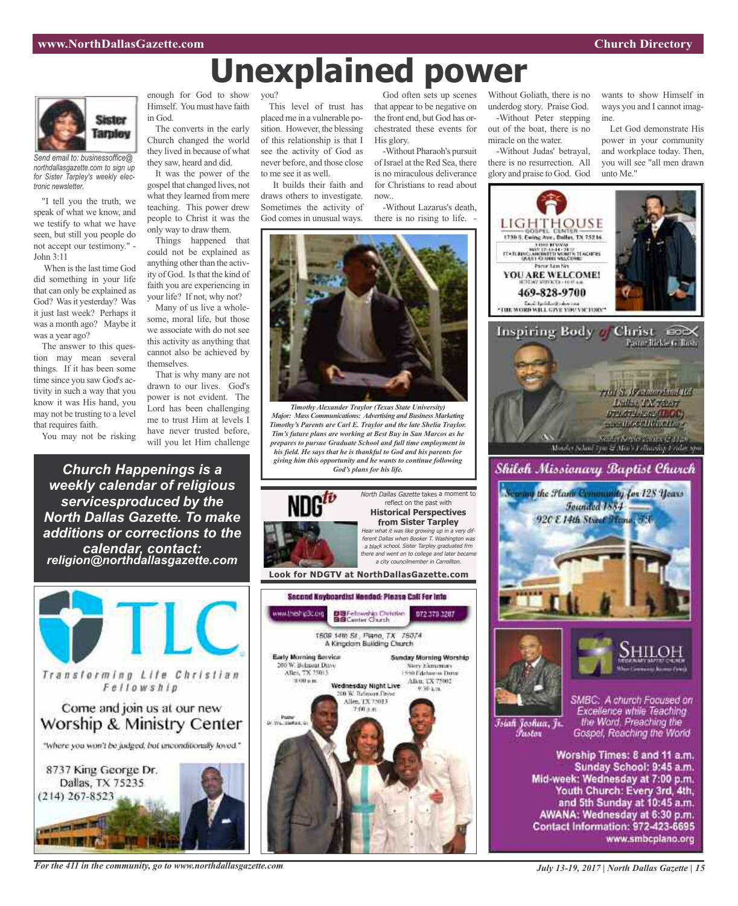

*Send email to: businessoffice@ northdallasgazette.com to sign up for Sister Tarpley's weekly electronic newsletter.*

"I tell you the truth, we speak of what we know, and we testify to what we have seen, but still you people do not accept our testimony." - John 3:11

When is the last time God did something in your life that can only be explained as God? Was it yesterday? Was it just last week? Perhaps it was a month ago? Maybe it was a year ago?

The answer to this question may mean several things. If it has been some time since you saw God's activity in such a way that you know it was His hand, you may not be trusting to a level that requires faith.

You may not be risking

*Church Happenings is a weekly calendar of religious servicesproduced by the North Dallas Gazette. To make additions or corrections to the calendar, contact: religion@northdallasgazette.com*

Transforming Life Christian

Fellowship

Come and join us at our new

Worship & Ministry Center

"where you won't be judged, but unconditionally loved."

8737 King George Dr.

Dallas, TX 75235

 $(214)$  267-8523

NAME AND DESCRIPTION OF

enough for God to show Himself. You must have faith in God.

The converts in the early Church changed the world they lived in because of what they saw, heard and did.

It was the power of the gospel that changed lives, not what they learned from mere teaching. This power drew people to Christ it was the only way to draw them.

Things happened that could not be explained as anything other than the activity of God. Is that the kind of faith you are experiencing in your life? If not, why not?

Many of us live a wholesome, moral life, but those we associate with do not see this activity as anything that cannot also be achieved by themselves.

That is why many are not drawn to our lives. God's power is not evident. The Lord has been challenging me to trust Him at levels I have never trusted before, will you let Him challenge

you?

This level of trust has placed me in a vulnerable position. However, the blessing of this relationship is that I see the activity of God as never before, and those close to me see it as well.

It builds their faith and draws others to investigate. Sometimes the activity of God comes in unusual ways.

God often sets up scenes that appear to be negative on the front end, but God has orchestrated these events for His glory.

-Without Pharaoh's pursuit of Israel at the Red Sea, there is no miraculous deliverance for Christians to read about now..

-Without Lazarus's death, there is no rising to life. -



**Unexplained power**

*Timothy Alexander Traylor (Texas State University) Major: Mass Communications: Advertising and Business Marketing Timothy's Parents are Carl E. Traylor and the late Shelia Traylor. Tim's future plans are working at Best Buy in San Marcos as he prepares to pursue Graduate School and full time employment in his field. He says that he is thankful to God and his parents for giving him this opportunity and he wants to continue following*



North Dallas Gazette takes a moment to reflect on the past with **Historical Perspectives from Sister Tarpley** Hear what it was like growing up in <sup>a</sup> very different Dallas when Booker T. Washington was <sup>a</sup> black school. Sister Tarpley graduated frm there and went on to college and later became <sup>a</sup> city councilmember in Carrollton.

**Look for NDGTV at NorthDallasGazette.com**



Without Goliath, there is no underdog story. Praise God. -Without Peter stepping out of the boat, there is no miracle on the water.

-Without Judas' betrayal, there is no resurrection. All glory and praise to God. God wants to show Himself in ways you and I cannot imagine.

Let God demonstrate His power in your community and workplace today. Then, you will see "all men drawn unto Me."



#### *For the 411 in the community, go to www.northdallasgazette.com*

*July 13-19, 2017 | North Dallas Gazette | 15*